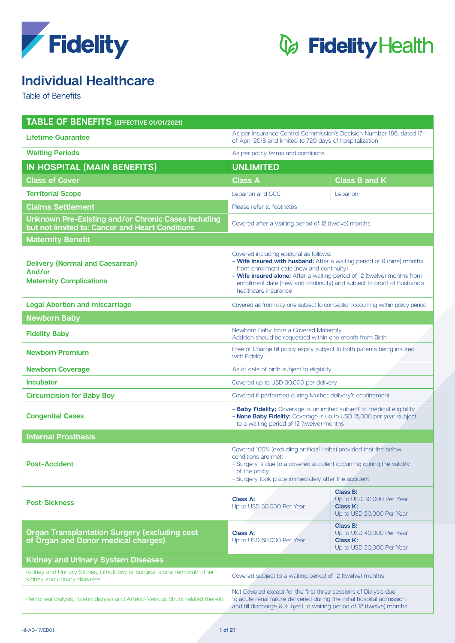



## **Individual Healthcare**

Table of Benefits

| <b>TABLE OF BENEFITS (EFFECTIVE 01/01/2021)</b>                                                        |                                                                                                                                                                                                                                                                                                                                            |                                                                                |  |
|--------------------------------------------------------------------------------------------------------|--------------------------------------------------------------------------------------------------------------------------------------------------------------------------------------------------------------------------------------------------------------------------------------------------------------------------------------------|--------------------------------------------------------------------------------|--|
| <b>Lifetime Guarantee</b>                                                                              | As per Insurance Control Commission's Decision Number 186, dated 17th<br>of April 2018 and limited to 720 days of hospitalization                                                                                                                                                                                                          |                                                                                |  |
| <b>Waiting Periods</b>                                                                                 | As per policy terms and conditions                                                                                                                                                                                                                                                                                                         |                                                                                |  |
| IN HOSPITAL (MAIN BENEFITS)                                                                            | <b>UNLIMITED</b>                                                                                                                                                                                                                                                                                                                           |                                                                                |  |
| <b>Class of Cover</b>                                                                                  | <b>Class A</b>                                                                                                                                                                                                                                                                                                                             | <b>Class B and K</b>                                                           |  |
| <b>Territorial Scope</b>                                                                               | Lebanon and GCC                                                                                                                                                                                                                                                                                                                            | Lebanon                                                                        |  |
| <b>Claims Settlement</b>                                                                               | Please refer to footnotes                                                                                                                                                                                                                                                                                                                  |                                                                                |  |
| Unknown Pre-Existing and/or Chronic Cases including<br>but not limited to: Cancer and Heart Conditions | Covered after a waiting period of 12 (twelve) months                                                                                                                                                                                                                                                                                       |                                                                                |  |
| <b>Maternity Benefit</b>                                                                               |                                                                                                                                                                                                                                                                                                                                            |                                                                                |  |
| <b>Delivery (Normal and Caesarean)</b><br>And/or<br><b>Maternity Complications</b>                     | Covered including epidural as follows:<br>- Wife insured with husband: After a waiting period of 9 (nine) months<br>from enrollment date (new and continuity)<br>- Wife insured alone: After a waiting period of 12 (twelve) months from<br>enrollment date (new and continuity) and subject to proof of husband's<br>healthcare insurance |                                                                                |  |
| <b>Legal Abortion and miscarriage</b>                                                                  | Covered as from day one subject to conception occurring within policy period                                                                                                                                                                                                                                                               |                                                                                |  |
| <b>Newborn Baby</b>                                                                                    |                                                                                                                                                                                                                                                                                                                                            |                                                                                |  |
| <b>Fidelity Baby</b>                                                                                   | Newborn Baby from a Covered Maternity.<br>Addition should be requested within one month from Birth                                                                                                                                                                                                                                         |                                                                                |  |
| <b>Newborn Premium</b>                                                                                 | Free of Charge till policy expiry subject to both parents being insured<br>with Fidelity                                                                                                                                                                                                                                                   |                                                                                |  |
| <b>Newborn Coverage</b>                                                                                | As of date of birth subject to eligibility                                                                                                                                                                                                                                                                                                 |                                                                                |  |
| <b>Incubator</b>                                                                                       | Covered up to USD 30,000 per delivery                                                                                                                                                                                                                                                                                                      |                                                                                |  |
| <b>Circumcision for Baby Boy</b>                                                                       | Covered if performed during Mother delivery's confinement                                                                                                                                                                                                                                                                                  |                                                                                |  |
| <b>Congenital Cases</b>                                                                                | - Baby Fidelity: Coverage is unlimited subject to medical eligibility<br>- None Baby Fidelity: Coverage is up to USD 15,000 per year subject<br>to a waiting period of 12 (twelve) months                                                                                                                                                  |                                                                                |  |
| <b>Internal Prosthesis</b>                                                                             |                                                                                                                                                                                                                                                                                                                                            |                                                                                |  |
| <b>Post-Accident</b>                                                                                   | Covered 100% (excluding artificial limbs) provided that the below<br>conditions are met:<br>- Surgery is due to a covered accident occurring during the validity<br>of the policy<br>- Surgery took place immediately after the accident                                                                                                   |                                                                                |  |
| <b>Post-Sickness</b>                                                                                   | <b>Class A:</b><br>Up to USD 30,000 Per Year                                                                                                                                                                                                                                                                                               | Class B:<br>Up to USD 30,000 Per Year<br>Class K:<br>Up to USD 20,000 Per Year |  |
| <b>Organ Transplantation Surgery (excluding cost</b><br>of Organ and Donor medical charges)            | <b>Class A:</b><br>Up to USD 60,000 Per Year                                                                                                                                                                                                                                                                                               | Class B:<br>Up to USD 40,000 Per Year<br>Class K:<br>Up to USD 20,000 Per Year |  |
| <b>Kidney and Urinary System Diseases</b>                                                              |                                                                                                                                                                                                                                                                                                                                            |                                                                                |  |
| Kidney and Urinary Stones, Lithotripsy or surgical stone removal/ other<br>kidney and urinary diseases | Covered subject to a waiting period of 12 (twelve) months                                                                                                                                                                                                                                                                                  |                                                                                |  |
| Peritoneal Dialysis, Haemodialysis and Arterio-Venous Shunt related thereto                            | Not Covered except for the first three sessions of Dialysis due<br>to acute renal failure delivered during the initial hospital admission<br>and till discharge & subject to waiting period of 12 (twelve) months                                                                                                                          |                                                                                |  |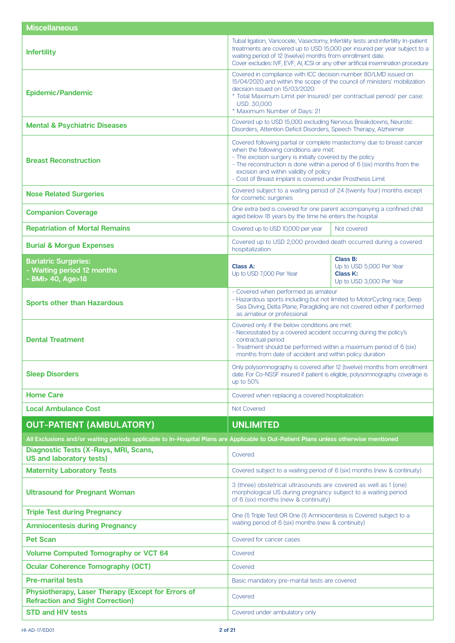| <b>Miscellaneous</b>                                                                                                                 |                                                                                                                                                                                                                                                                                                                                                                 |                                                                              |  |
|--------------------------------------------------------------------------------------------------------------------------------------|-----------------------------------------------------------------------------------------------------------------------------------------------------------------------------------------------------------------------------------------------------------------------------------------------------------------------------------------------------------------|------------------------------------------------------------------------------|--|
| <b>Infertility</b>                                                                                                                   | Tubal ligation, Varicocele, Vasectomy, Infertility tests and infertility In-patient<br>treatments are covered up to USD 15,000 per insured per year subject to a<br>waiting period of 12 (twelve) months from enrollment date.<br>Cover excludes: IVF, EVF, AI, ICSI or any other artificial insemination procedure                                             |                                                                              |  |
| <b>Epidemic/Pandemic</b>                                                                                                             | Covered in compliance with ICC decision number 80/LMD issued on<br>15/04/2020 and within the scope of the council of ministers' mobilization<br>decision issued on 15/03/2020:<br>* Total Maximum Limit per Insured/ per contractual period/ per case:<br>USD. 30,000<br>* Maximum Number of Days: 21                                                           |                                                                              |  |
| <b>Mental &amp; Psychiatric Diseases</b>                                                                                             | Covered up to USD 15,000 excluding Nervous Breakdowns, Neurotic<br>Disorders, Attention Deficit Disorders, Speech Therapy, Alzheimer                                                                                                                                                                                                                            |                                                                              |  |
| <b>Breast Reconstruction</b>                                                                                                         | Covered following partial or complete mastectomy due to breast cancer<br>when the following conditions are met:<br>- The excision surgery is initially covered by the policy<br>- The reconstruction is done within a period of 6 (six) months from the<br>excision and within validity of policy<br>- Cost of Breast implant is covered under Prosthesis Limit |                                                                              |  |
| <b>Nose Related Surgeries</b>                                                                                                        | Covered subject to a waiting period of 24 (twenty four) months except<br>for cosmetic surgeries                                                                                                                                                                                                                                                                 |                                                                              |  |
| <b>Companion Coverage</b>                                                                                                            | One extra bed is covered for one parent accompanying a confined child<br>aged below 18 years by the time he enters the hospital                                                                                                                                                                                                                                 |                                                                              |  |
| <b>Repatriation of Mortal Remains</b>                                                                                                | Covered up to USD 10,000 per year                                                                                                                                                                                                                                                                                                                               | Not covered                                                                  |  |
| <b>Burial &amp; Morgue Expenses</b>                                                                                                  | Covered up to USD 2,000 provided death occurred during a covered<br>hospitalization                                                                                                                                                                                                                                                                             |                                                                              |  |
| <b>Bariatric Surgeries:</b><br>- Waiting period 12 months<br>- BMI> 40, Age>18                                                       | Class A:<br>Up to USD 7,000 Per Year                                                                                                                                                                                                                                                                                                                            | Class B:<br>Up to USD 5,000 Per Year<br>Class K:<br>Up to USD 3,000 Per Year |  |
| <b>Sports other than Hazardous</b>                                                                                                   | - Covered when performed as amateur<br>- Hazardous sports including but not limited to MotorCycling race, Deep<br>Sea Diving, Delta Plane, Paragliding are not covered either if performed<br>as amateur or professional                                                                                                                                        |                                                                              |  |
| <b>Dental Treatment</b>                                                                                                              | Covered only if the below conditions are met:<br>- Necessitated by a covered accident occurring during the policy's<br>contractual period<br>- Treatment should be performed within a maximum period of 6 (six)<br>months from date of accident and within policy duration                                                                                      |                                                                              |  |
| <b>Sleep Disorders</b>                                                                                                               | Only polysomnography is covered after 12 (twelve) months from enrollment<br>date. For Co-NSSF insured if patient is eligible, polysomnography coverage is<br>up to $50\%$                                                                                                                                                                                       |                                                                              |  |
| <b>Home Care</b>                                                                                                                     | Covered when replacing a covered hospitalization                                                                                                                                                                                                                                                                                                                |                                                                              |  |
| <b>Local Ambulance Cost</b>                                                                                                          | Not Covered                                                                                                                                                                                                                                                                                                                                                     |                                                                              |  |
| <b>OUT-PATIENT (AMBULATORY)</b>                                                                                                      | <b>UNLIMITED</b>                                                                                                                                                                                                                                                                                                                                                |                                                                              |  |
| All Exclusions and/or waiting periods applicable to In-Hospital Plans are Applicable to Out-Patient Plans unless otherwise mentioned |                                                                                                                                                                                                                                                                                                                                                                 |                                                                              |  |
| Diagnostic Tests (X-Rays, MRI, Scans,<br><b>US and laboratory tests)</b>                                                             | Covered                                                                                                                                                                                                                                                                                                                                                         |                                                                              |  |
| <b>Maternity Laboratory Tests</b>                                                                                                    | Covered subject to a waiting period of 6 (six) months (new & continuity)                                                                                                                                                                                                                                                                                        |                                                                              |  |
| <b>Ultrasound for Pregnant Woman</b>                                                                                                 | 3 (three) obstetrical ultrasounds are covered as well as 1 (one)<br>morphological US during pregnancy subject to a waiting period<br>of 6 (six) months (new & continuity)                                                                                                                                                                                       |                                                                              |  |
| <b>Triple Test during Pregnancy</b>                                                                                                  | One (1) Triple Test OR One (1) Amniocentesis is Covered subject to a                                                                                                                                                                                                                                                                                            |                                                                              |  |
| <b>Amniocentesis during Pregnancy</b>                                                                                                | waiting period of 6 (six) months (new & continuity)                                                                                                                                                                                                                                                                                                             |                                                                              |  |
| <b>Pet Scan</b>                                                                                                                      | Covered for cancer cases                                                                                                                                                                                                                                                                                                                                        |                                                                              |  |
| <b>Volume Computed Tomography or VCT 64</b>                                                                                          | Covered                                                                                                                                                                                                                                                                                                                                                         |                                                                              |  |
| <b>Ocular Coherence Tomography (OCT)</b>                                                                                             | Covered                                                                                                                                                                                                                                                                                                                                                         |                                                                              |  |
| <b>Pre-marital tests</b>                                                                                                             | Basic mandatory pre-marital tests are covered                                                                                                                                                                                                                                                                                                                   |                                                                              |  |
| Physiotherapy, Laser Therapy (Except for Errors of<br><b>Refraction and Sight Correction)</b>                                        | Covered                                                                                                                                                                                                                                                                                                                                                         |                                                                              |  |
| <b>STD and HIV tests</b>                                                                                                             | Covered under ambulatory only                                                                                                                                                                                                                                                                                                                                   |                                                                              |  |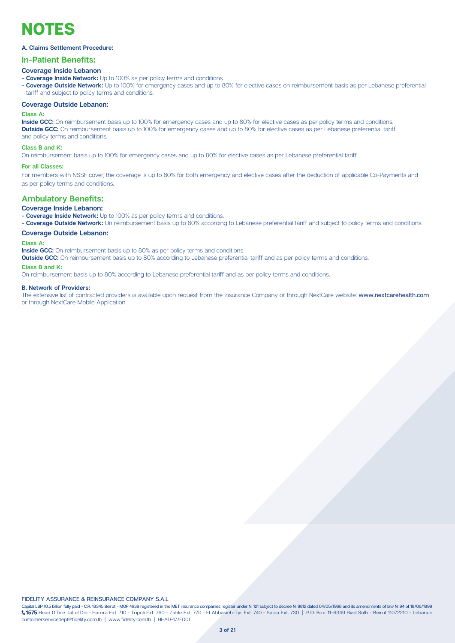## NOTES

### A. Claims Settlement Procedure:

### **In-Patient Benefits:**

### **Coverage Inside Lebanon**

- **Coverage Inside Network:** Up to 100% as per policy terms and conditions.
- Coverage Outside Network: Up to 100% for emergency cases and up to 80% for elective cases on reimbursement basis as per Lebanese preferential tariff and subject to policy terms and conditions.

### **Coverage Outside Lebanon:**

#### **Class A:**

Inside GCC: On reimbursement basis up to 100% for emergency cases and up to 80% for elective cases as per policy terms and conditions. **Outside GCC:** On reimbursement basis up to 100% for emergency cases and up to 80% for elective cases as per Lebanese preferential tariff and policy terms and conditions.

### **Class B and K:**

On reimbursement basis up to 100% for emergency cases and up to 80% for elective cases as per Lebanese preferential tariff.

### **:Classes all For**

For members with NSSF cover, the coverage is up to 80% for both emergency and elective cases after the deduction of applicable Co-Payments and as per policy terms and conditions.

### **Ambulatory Benefits:**

### **Coverage Inside Lebanon:**

- **Coverage Inside Network:** Up to 100% as per policy terms and conditions.

- Coverage **Outside Network:** On reimbursement basis up to 80% according to Lebanese preferential tariff and subject to policy terms and conditions.

### **Coverage Outside Lebanon:**

### **Class A:**

**Inside GCC:** On reimbursement basis up to 80% as per policy terms and conditions.

**Outside GCC:** On reimbursement basis up to 80% according to Lebanese preferential tariff and as per policy terms and conditions.

### **Class B and V:**

.con reimbursement basis up to 80% according to Lebanese preferential tariff and as per policy terms and conditions.

#### **B. Network of Providers:**

The extensive list of contracted providers is available upon request from the Insurance Company or through NextCare website: www.nextcarehealth.com or through NextCare Mobile Application.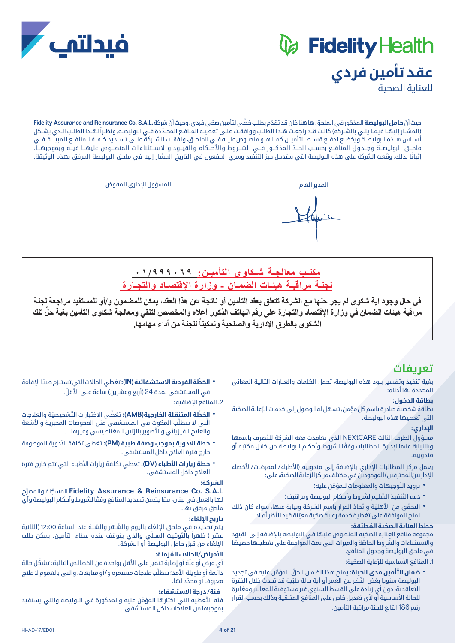# *&* Fidelity Health **عقد تأمين فردي**



حيث أنّ **حامل البوليصة** المذكور في الملحق ها هنا كان قد تقدّم بطلب خطّي لتأمين صحّي فردي، وحيث أنّ شركة .Fidelity Assurance and Reinsurance Co. S.A.L (المشـار إليهـا فيمـا يلــى بالشـركة) كانـت قــد راجعـت هــذا الطلــب ووافقــت علــى تغطيــة المنافـع المحــدّدة فــى البوليصــة، ونظـراً لهــذا الطلــب الـذي يشـكل أســاس هــذه البوليصــة ويخضـع لدفــع قســط التأميــن كمــا هــو منصــوص عليــه فــي الملحــق، وافقــت الشــركة علــى تســديد كلفــة المنافــع المبينــة فــي ملحــق البوليصــة وجــدول المنافــع بحســب الحــدّ المذكــور فــي الشـــروط والأحــكام والقيــود والاســتثناءات المنصــوص عليهــا فيـــه وبموجبهـــا . إثباتًا لذلك، وقّعت الشركة على هذه البوليصة التي ستدخل حيز التنفيذ وسري المفعول في التاريخ المشار إليه في ملحق البوليصة المرفق بهذه الوثيقة.

المدير العام المسؤول اإلداري المفوض

فبدلتف

**مكتــب معالجــة شــكاوى التأميــن: ٠١/٩٩٩٠٦٩ لجنـة مراقبـة هيئـات الضمـان - وزارة اإلقتصـاد والتجـارة**

**في حال وجود اية شكوى لم يجر حلها مع الشركة تتعلق بعقد التأمين أو ناتجة عن هذا العقد، يمكن للمضمون و/أو للمستفيد مراجعة لجنة ّ مراقبة هيئات الضمان في وزارة اإلقتصاد والتجارة على رقم الهاتف الذكور أعاله والمخصص لتلقي ومعالجة شكاوى التأمين بغية حل تلك**  الشكوى بالطرق الإدارية والصلحية وتمكيناً للجنة من أداع مهامها.<br>.

### **تعريفات**

بغية تنفيذ وتفسير بنود هذه البوليصة، تحمل الكلمات والعبارات التالية المعاني المحددة لها أدناه:

### **بطاقة الدخول:**

بطاقة شخصية صادرة باسم كل مؤمن، تسهل له الوصول إلى خدمات الرّعاية الصحّية التي تغطيها هذه البوليصة.

### **اإلداري:**

مسؤول الطرف الثالث NEXtCARE ّ الذي تعاقدت معه الشركة للتصرف باسمها ً وبالنيابة عنها إلدارة المطالبات وفقا لشروط وأحكام البوليصة من خالل مكتبه أو مندوبيه.

يعمل مركز المطالبات الاداري بالاضافة إلى مندوبيه (الأطباء/الممرضات/الأخصاء الإداريين|لمحترفين) الموجودين في مختلف مراكز الرّعاية الصحّية، على:

- 
- 
- تزويد التّوجيهات والمعلومات للمؤمّن عليه؛<br>• دعم التّنفيذ السّليم لشروط وأحكام البوليصة ومراقبته؛<br>• التحقّق من الأهليّة واتّخاذ القرار باسم الشركة ونيابة عنها، سواء كان ذلك<br>• لمنح الموافقة على تغطية خدمة رعاية صحّية معيّ

### **ّ خطط العناية الصح ُ ية الم ّطبقة:**

ّ مجموعة منافع العناية الصحية المنصوص عليها في البوليصة باإلضافة إلى القيود والاستثناءات والشَّروط الخاصّة والميزات التي تمت الموافقة على تغطيتها خصيصًا في ملحق البوليصة وجدول المنافع.

1. المنافع الأساسية للرَّعاية الصحّية:

- **\* ضمان التّأمين مدى الحياة:** يمنح هذا الضمان الحقّ للمؤمّن عليه في تجديد البوليصة سنوياً بغض النّظر عن العمر أو أية حالة طبّية قد تحدث خلال الفترة ّ التعاقدية، دون أي زيادة على القسط السنوي غير مستوفية للمعايير ومغايرة للحالة الأساسية أو لأي تعديل خاص على المنافع المتبقية وذلك بحسب القرار
	- رقم 186 التابع للجنة مراقبة التأمين.

• **الخطّة الفردية الاستشفائية (IN):** تغطي الحالات التي تستلزم طبيًا الإقامة<br>في المستشفى لمدة 24 (أربع وعشرين) ساعة على الأقلّ.

.2 المنافع اإلضافية:

- ّال ّ تي ال تتطلب المكوث في المستشفى مثل الفحوصات المخبرية واألشعة **ّ الخطة المتنقلة الخارجية)AMB):** ّ تغط ّ ي االختبارات الت ّ شخيصية والعالجات والعلاج الفيزيائي والتصوير بالرّنين المغناطيسي وغيرها ...
- **٬ خطة الأدوية بموجب وصفة طبية (PM):** تغطي تكلفة الأدوية الموصوفة<br>خارج فترة العلاج داخل المستشفى.
- **\* خطة زيارات الأطباء (DV):** تغطي تكلفة زيارات الأطباء التي تتم خارج فترة<br>العلاج داخل المستشفى.

### **الشركة:**

ّ ح **L.A.S .Co Reinsurance & Assurance Fidelity** ّ المسجلة والمصر لها بالعمل في لبنان، ممّا يضمن تسديد المنافع وفقًا لشروط وأحكام البوليصة وأي ملحق مرفق بها.

### **تاريخ اإللغاء:**

يتم تحديده في ملحق الإلغاء باليوم والشَّهر والسّنة عند الساعة 12:00 (الثانية عشر ) ظهراً بالتَّوقيت المحلّى والذي يتوقف عنده غطاء التأمين. يمكن طلب اإللغاء من قبل حامل البوليصة أو الشركة.

### **ُ األمراض/الحاالت المزمنة:**

أي مرض أو علَّة أو إصابة تتميز على الأقل بواحدة من الخصائص التالية: تشكّل حالة دائمة أو طويلة الأمد؛ تتطلّب علاجات مستمرة و/أو متابعات، والتي بالعموم لا علاج ّ معروف أو محدد لها.

### **فئة/ درجة االستشفاء:**

فئة التّغطية التى اختارها المؤمّن عليه والمذكورة في البوليصة والتي يستفيد بموجبها من العالجات داخل المستشفى.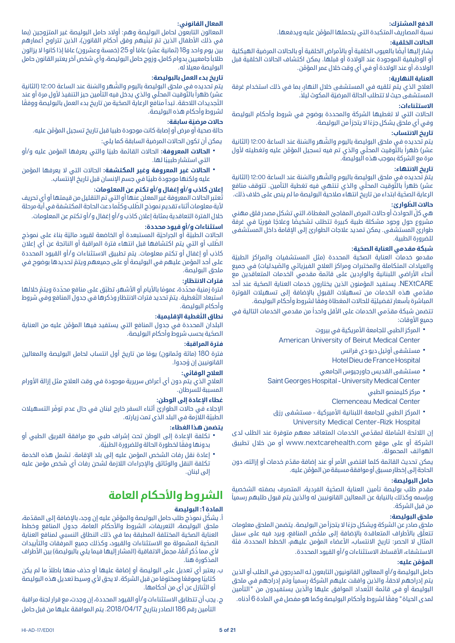### **َ الدفع المشترك:**

َّ نسبة المصاريف المتكبدة التي يتحملها المؤمن عليه ويدفعها.

### **الحاالت الخلقية:**

يشار إليها أيضًا بالعيوب الخلقية أو بالأمراض الخلقية أو بالحالات المرضية الهيكلية أو الوظيفية الموجودة عند الوالدة أو قبلها. يمكن اكتشاف الحاالت الخلقية قبل َّ الوالدة، أو عند الوالدة أو في أي وقت خالل عمر المؤمن.

### **العناية النهارية:**

العالج الذي يتم تلقيه في المستشفى خالل النهار، بما في ذلك استخدام غرفة المستشفى حيث لا تتطلب الحالة المرضيّة المكوث ليلاً.

### **االستثناءات:**

الحالات التي لا تغطيها الشركة والمحددة بوضوح في شروط وأحكام البوليصة ً وفي أي ملحق يشكل جزءا ال يتجزأ من البوليصة.

### **تاريخ االنتساب:**

يتم تحديده في ملحق البوليصة باليوم والشَّهر والسّنة عند الساعة 12:00 (الثانية عشر) ظهراً بالتَّوقيت المحلّي والذى تم فيه تسجيل المؤمّن عليه وتغطيته لأول مرة مع الشركة بموجب هذه البوليصة.

### **تاريخ االنتهاء:**

يتمّ تحديده في ملحق البوليصة باليوم والشَّهر والسّنة عند الساعة 12:00 (الثانية عشر) ظهراً بالتَّوقيت المحلّي والذي تنتهي فيه تغطية التأمين. تتوقف منافع ّ الرعاية الصحية ابتداء من تاريخ انتهاء صالحية البوليصة ما لم ينص على خالف ذلك.

### **ّ حاالت الطوارئ:**

ّ هي كل الحوادث أو حاالت المرض المفاجئ المغطاة، التي تشكل مصدر قلق مهني مشروع حول وجود مشكلة طبية كبيرة تتطلب تشخيصًا وعلاجًا فوريًا في غرفةً طوارئ المستشفى. يمكن تمديد عالجات الطوارئ إلى اإلقامة داخل المستشفى للضرورة الطبية.

### **ّ شبكة مقدمي العناية الصحية:**

مقدمو خدمات العناية الصحّية المحددة (مثل المستشفيات والمراكز الطبيّة والعيادات المتكاملة والمختبرات ومراكز العلاج الفيزيائي والصّيدليات) في جميع أنحاء الأراضي اللبنانية والواردين على قائمة مقدمي الخدمات المتعاقدين مع NEXtCARE ّ . يستفيد المؤمنون الذين يختارون خدمات العناية الصحية عند أحد مقدّمي هذه الخدمات من تسهيلات القبول بالإضافة إلى تسهيلات الفوترة المباشرة بأسعار تفضيليّة للحالات المغطاة وفقًا لشروط وأحكام البوليصة.

تتضمن شبكة مقدّمي الخدمات على الأقل واحداً من مقدمي الخدمات التالية في جميع الأوقات:

- المركز الطبي للجامعة الأمريكية في بيروت<br>American University of Beirut Medical Center
	- مستشفى آوتيل ديو دي فرانس<br>Hotel Dieu de France Hospital
- مستشفى القديس جاورجيوس الجامعي<br>Saint Georges Hospital University Medical Center
	-
	- مركز كليمنصو الطبي<br>Clemenceau Medical Center
	- المركز الطبي للجامعة اللبنانية الأميركية مستشفى رزق<br>University Medical Center-Rizk Hospital

ّ إن الالئحة الشاملة لمقدمي الخدمات المتعاقد معهم متوفرة عند الطلب لدى الشركة أو على موقع com.nextcarehealth.www أو من خالل تطبيق الهواتف المحمولة.

يمكن تحديث القائمة كلما اقتضى الأمر أو عند إضافة مقدّم خدمات أو إزالته، دون َّ الحاجة إلى إخطار مسبق أو موافقة مسبقة من المؤمن عليه.

### **حامل البوليصة:**

ّ مقدم طلب بوليصة تأمين العناية الصحية الفردية، المتصرف بصفته الشخصية ً وبإسمه وكذلك بالنيابة عن المعالين القانونيين له والذين يتم قبول طلبهم رسميا من قبل الشركة.

### **ملحق البوليصة:**

ً ملحق صادر عن الشركة ويشكل جزءا ال يتجزأ من البوليصة. يتضمن الملحق معلومات تتعلّق بالأطراف المتعاقدة بالاضافة إلى ملخّص المنافع، ويرد فيه على سبيل المثال لا الحصر: تاريخ الانتساب، الأعضاء المؤمن عليهم، الخطط المحددة، فئة الاستشفاء، الأقساط، الاستثناءات و/أو القيود المحددة.

### **َّ المؤمن عليه:**

حامل البوليصة و/أو المعالون القانونيون التابعون لـه المدرجون في الطلب أو الذين يتم إدراجهم لاحقاً، والذين وافقت عليهم الشركة رسمياً وتم إدراجهم في ملحق البوليصة أو في قائمة التّعداد الموافق عليها والَّذين يستفيدون من "التأمين ً لمدى الحياة" وفقا لشروط وأحكام البوليصة وكما هو مفصل في المادة 6 أدناه.

### **المعال القانوني:**

المعالون التابعون لحامل البوليصة وهم: أوالد حامل البوليصة غير المتزوجين )بما في ذلك الأطفال الذين تمّ تبنّيهم وفق أحكام القانون)، الذين تتراوح أعمارهم بين يوم واحد و18 (ثمانية عشر) عامًا أو 25 (خمسة وعشرون) عامًا إذا كانوا لا يزالون ً طالبا جامعيين بدوام كامل، وزوج حامل البوليصة، وأي شخص آخر يعتبر القانون حامل ً البوليصة معيال له.

### **تاريخ بدء العمل بالبوليصة:**

يتم تحديده في ملحق البوليصة باليوم والشَّهر والسّنة عند الساعة 12:00 (الثانية عشر) ظهراً بالتَّوقيت المحلّى والذي يدخل فيه التأمين حيز التنفيذ لأول مرة أو عند التَّجديدات اللاحقة. تبدأ منافع الرعاية الصحّية من تاريخ بدء العمل بالبوليصة ووفقًا لشروط وأحكام هذه البوليصة.

### **ّ حاالت مرضية سابقة:**

َّ حالة صحية أو مرض أو إصابة كانت موجودة طبيا قبل تاريخ تسجيل المؤمن عليه. يمكن أن تكون الحاالت المرضية السابقة كما يلي:

- ً **الحالات المعروفة:** الحالات القائمة طبيًا والتي يعرفها المؤمن عليه و/أو<br>التي استشار طبيبًا لها.
- **ٔ الحالات غير المعروفة وغير المكتشفة:** الحالات التي لا يعرفها المؤمن<br> عليه ولكنها موجودة طبيًا في جسم الإنسان قبل تاريخ الإنتساب.

### **إعالن كاذب و/أو إغفال و/أو تكتم عن المعلومات:**

ُتعتبر الحاالت المعروفة غير المعلن عنها أو التي تم التقليل من قيمتها أو أي تحريف لأية معلومات أثناء تقديم نموذج الطّلب وكلّما دعت الحاجة المكتشفة في أيّة مرحلة خالل الفترة التعاقدية بمثابة إعالن كاذب و/أو إغفال و/أو تكتم عن المعلومات.

### **استثناءات و/أو قيود محددة:**

الحالات الطبيّة أو الجراحيّة المستبعدة أو الخاضعة لقيود ماليّة بناءً على نموذج ّ الطلب أو التي يتم اكتشافها قبل انتهاء فترة المراقبة أو الناتجة عن أي إعالن كاذب أو إغفال أو تكتم معلومات. يتم تطبيق االستثناءات و/أو القيود المحددة ّ على أحد المؤمن عليهم في البوليصة أو على جميعهم ويتم تحديدها بوضوح في ملحق البوليصة.

### **فترات االنتظار:**

فترة زمنية محدّدة، عمومًا بالأيام أو الأشهر، تطبّق على منافع محدّدة ويتمّ خلالها استبعاد التّغطية. يتمّ تحديد فترات الانتظار وذكرها في جدول المنافع وفي شروط وأحكام البوليصة.

### **ّ نطاق التغطية اإلقليمية:**

َّ البلدان المحددة في جدول المنافع التي يستفيد فيها المؤمن عليه من العناية ّ الصحية بحسب شروط وأحكام البوليصة.

### **فترة المراقبة:**

فترة 180 (مائة وثمانون) يومًا من تاريخ أول انتساب لحامل البوليصة والمعالين ُ القانونيين إن وجدوا.

### **العالج الوقائي:**

العلاج الذي يتم دون أي أعراض سريرية موجودة في وقت العلاج مثل إزالة الأورام المسببة للسرطان.

### **غطاء اإلعادة إلى الوطن:**

ّ اإلجالء في حاالت الطوارئ أثناء السفر خارج لبنان في حال عدم توفر التسهيالت ّ الطبية الالزمة في البلد الذي تمت زيارته.

### **يتضمن هذا الغطاء:**

- تكلفة الإعادة إلى الوطن تحت إشراف طبي مع مرافقة الفريق الطبي أو<br>بدونها وفقًا لخطورة الحالة وللضرورة الطبيّة.
- إعادة نقل رفات الشخص المؤمن عليه إلى بلد الإقامة. تشمل هذه الخدمة<br> تكلفة النقل والوثائق والإجراءات اللازمة لشحن رفات أي شخص مؤمن عليه إلى لبنان.

## **الشروط واألحكام العامة**

### **المادة :1 البوليصة**

- أ. يشكّل نموذج طلب حامل البوليصة والمؤمّن عليه إن وجد، بالإضافة إلى المقدّمة، ملحق البوليصة، التعريفات، الشروط واألحكام العامة، جدول المنافع وخطط ّ العناية الصحية المختلفة المطبقة بما في ذلك النطاق النسبي لمنافع العناية ّ الصحية المشمولة مع االستثناءات والقيود، وكذلك جميع المرفقات والتأييدات لأي مما ذُكر آنفًا، مجمل الاتفاقية (المشار إليها فيما يلي بالبوليصة) بين الأطراف المذكورة هنا.
- ب. ً يعتبر أي تعديل على البوليصة أو إضافة عليها أو حذف منها باطال ما لم يكن كتابيًا وموقعًا ومختومًا من قبل الشركة. لا يحق لأي وسيط تعديل هذه البوليصة ّ أو التنازل عن أي من أحكامها.
- ج. يجب أن تتطابق االستثناءات و/أو القيود المحددة، إن وجدت، مع قرار لجنة مراقبة التأمين رقم 186 الصادر بتاريخ .2018/04/17 يتم الموافقة عليها من قبل حامل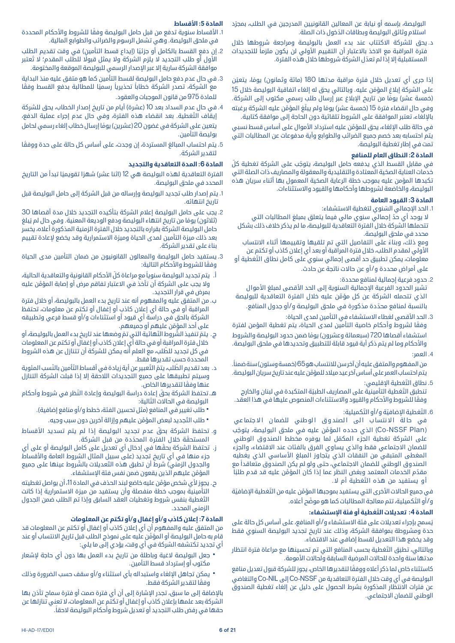البوليصة، بإسمه او نيابة عن المعالين القانونيين المدرجين في الطلب، بمجرّد ّ استالم وثائق البوليصة وبطاقات الدخول ذات الصلة.

د. يحق للشركة االكتتاب عند بدء العمل بالبوليصة ومراجعة شروطها خالل فترة المراقبة مع الاخذ بالاعتبار أن التقييم الأولى لن يكون ملزماً للتجديدات ّ المستقبلية إال إذا لم تعدل الشركة شروطها خالل هذه الفترة.

إذا جرى أي تعديل خلال فترة مراقبة مدتها 180 (مائة وثمانون) يومًا، يتعيّن على الشركة إبلاغ المؤمّن عليه. وبالتالي يحق له إلغاء اتفاقية البوليصة خلال 15 (خمسة عشر) يومًا من تاريخ الإبلاغ عبر إرسال طلب رسمي مكتوب إلى الشركة. وفي حال انقضاء فترة 15 (خمسة عشر) يومًا ولم يبلّغ المؤمّن عليه الشركة برغبته باإللغاء، تعتبر الموافقة على الشروط تلقائية دون الحاجة إلى موافقة كتابية.

َّ في حالة طلب اإللغاء، يحق للمؤمن عليه استرداد األموال على أساس قسط نسبي يتم احتسابه بعد خصم جميع الضرائب والطوابع وأية مدفوعات عن المطالبات التي تمت في إطار تغطية البوليصة.

### **المادة :2 النطاق العام للمنافع**

في مقابل القسط الذي يدفعه حامل البوليصة، يتوجّب على الشركة تغطية كلّ ّ خدمات العناية الصحية المعتادة والتقليدية والمعقولة والمصاريف ذات الصلة التي ّ تكبدها المؤمن عليه بموجب خطة الرعاية الصحية المعمول بها أثناء سريان هذه البوليصة، والخاضعة لشروطها وأحكامها والقيود واالستثناءات.

### **المادة :3 القيود العامة**

1. الحد الإجمالي السّنوي لتغطية الاستشفاء:

لا يوجد أي حدّ إجمالي سنوي مالي فيما يتعلق بمبلغ المطالبات التي تتحملها الشركة خالل الفترة التعاقدية للبوليصة، ما لم يذكر خالف ذلك بشكل محدد في ملحق البوليصة.

ً ومع ذلك، وبناء على التفاصيل التي تم تلقيها وتقييمها أثناء االنتساب األولي لمقدم الطلب، خالل فترة المراقبة أو بعد أي إعالن كاذب أو تكتم عن ّ معلومات، يمكن تطبيق حد أقصى إجمالي سنوي على كامل نطاق التغطية أو على أمراض محددة و/أو عن حاالت ناتجة عن حادث.

.2 حدود فرعية إجمالية لمنافع محددة:

تشير الحدود الفرعية الإجمالية السنوية إلى الحد الأقصى لمبلغ الأموال َّ الذي تتحمله الشركة عن كل مؤمن عليه خالل الفترة التعاقدية للبوليصة ّ بالنسبة لمنافع محددة مذكورة في ملحق البوليصة و/أو جدول المنافع.

3. الحد الأقصى لغطاء الاستشفاء في التأمين لمدى الحياة:

ً وفقا لشروط وأحكام خاصية التأمين لمدى الحياة، يتم تغطية المؤمن لفترة استشفاء أقصاها 720 (سبعمائة وعشرون) يومًا ضمن حدود البوليصة والشروط واألحكام وما لم يتم ذكر أية قيود قابلة للتطبيق وتحديدها في ملحق البوليصة.

.4 العمر:

من المفهوم والمتفق عليه أن آخر سن للانتساب هو 65 (خمسة وستون) سنة ضمناً. َّ يتم احتساب العمر على أساس آخر عيد ميالد للمؤمن عليه عند تاريخ سريان البوليصة.

5. نطاق التّغطية الإقليمي:

تنطبق التَّغطية التأمينية على المصاريف الطبيّة المتكبدة في لبنان والخارج وفقًا للشروط والأحكام والقيود والاستثناءات المنصوص عليها في هذا العقد.

6. التّغطية الإضافيّة و/أو التّكميلية:

في حالة الانتساب الى الصندوق الوطني للضمان الاجتماعي (Co-NSSF Plan) الذي حدده المؤمَّن عليه في ملحق البوليصة، يتوجّب ّ على الشركة تغطية الجزء المكمل لما يوفره مخطط الصندوق الوطني للضمان االجتماعي فقط والذي يساوي الفرق بالفئات عند االقتضاء، والجزء المغطى المتبقي من النفقات الذي يتجاوز المبلغ األساسي الذي يغطيه ً الصندوق الوطني للضمان االجتماعي، حتى ولو لم يكن الصندوق متعاقدا مع مقدّم الخدمات المعتمد وبغض النظر عما إذا كان المؤمّن عليه قد قدم طلبًا ّ أ و يستفيد من هذه التغطية أم ال.

في جميع الحالات الأخرى التي يستفيد بموجبها المؤمّن عليه من التَّغطية الإضافيّة و/أو التَّكميلية، تتم معالجة المطالبات كما هو موضّح أعلاه.

### **المادة 4 ّ : تعديالت التغطية أو فئة اإلستشفاء:**

ُيسمح بإجراء تعديالت على فئة االستشفاء و/أو المنافع، على أساس كل حالة على حدة ومشروطة بموافقة الشركة، وذلك عند تاريخ تجديد البوليصة السنوي فقط وقد يخضع هذا التعديل لقسط إضافي عند االقتضاء.

وبالتالي، تطبَق التّغطية بحسب المنافع التي تم تحسينها مع مراعاة فترة انتظار مدتها سنة واحدة للحالات المرضية السابقة ولحالات الأمومة.

ً كاستثناء خاص لما ذكر أعاله ووفقا لتقديرها الخاص، يجوز للشركة قبول تعديل منافع البوليصة في أي وقت خالل الفترة التعاقدية من NSSF-Co إلى NIL-Co والتغاضي عن فترات االنتظار المذكورة بشرط الحصول على دليل عن إلغاء تغطية الصندوق الوطني للضمان االجتماعي.

### **المادة :5 األقساط**

1. الأقساط سنوية تدفع من قبل حامل البوليصة وفقًا للشروط والأحكام المحددة في ملحق البوليصة. وهي تشمل الرسوم والضرائب والطوابع المالية.

- 2. إن دفع القسط بالكامل أو جزئيًا (إيداع قسط التأمين) في وقت تقديم الطلب األول أو طلب التجديد ال يلزم الشركة وال يمثل قبوًل ُ للطلب المقدم؛ ال تعتبر موافقة الشركة سارية إلا عبر الإصدار الرسمي للبوليصة الموقعة والمختومة.
- .3 في حال عدم دفع حامل البوليصة لقسط التأمين كما هو متفق عليه منذ البداية مع الشركة، تصدر الشركة خطاباً تحذيرياً رسميًا للمطالبة بدفع القسط وفقًا للمادة 975 من قانون الموجبات والعقود.
- 4. في حال عدم السداد بعد 10 (عشرة) أيام من تاريخ إصدار الخطاب، يحق للشركة ّ إيقاف التغطية. بعد انقضاء هذه الفترة، وفي حال عدم إجراء عملية الدفع، يتعين على الشركة في غضون 20 (عشرين) يومًا إرسال خطاب إلغاء رسمي لحامل بوليصة التأمين.
- 5. يتم احتساب المبالغ المستردة، إن وجدت، على أساس كل حالة على حدة ووفقًا لتقدير الشركة.

### **المادة :6 المدة التعاقدية والتجديد**

الفترة التعاقدية لهذه البوليصة هي 12 (اثنا عشر) شهرًا تقويميًا تبدأ من التاريخ المحدد في ملحق البوليصة.

- .1 يتم إصدار طلب تجديد البوليصة وإرساله من قبل الشركة إلى حامل البوليصة قبل تاريخ انتهائه.
- .2 يجب على حامل البوليصة إعالم الشركة بتأكيده التجديد خالل مدة أقصاها 30 (ثلاثون) يومًا من تاريخ انتهاء البوليصة ودفع الوديعة المعنية. وفي حال لم يُبلغ حامل البوليصة الشركة بقراره بالتجديد خالل الفترة الزمنية المذكورة أعاله، يخسر بعد ذلك ميزة التأمين لمدى الحياة وميزة االستمرارية وقد يخضع إلعادة تقييم ً بناء على تقدير الشركة.
- .3 يستفيد حامل البوليصة والمعالون القانونيون من ضمان التأمين مدى الحياة وفقًا للشروط والأحكام التالية:
- أ. يتم تجديد البوليصة سنوياً مع مراعاة كلّ الأحكام القانونية والتعاقدية الحالية، َّ وال يجب على الشركة أن تأخذ في االعتبار تفاقم مرض أو إصابة المؤمن عليه بمرض في قرار التجديد.
- ب. من المتفق عليه والمفهوم أنه عند تاريخ بدء العمل بالبوليصة، أو خالل فترة المراقبة أو في حالة أي إعالن كاذب أو إغفال أو تكتم عن معلومات، تحتفظ الشركة بالحق في دراسة أي قيود أو استثناءات و/أو قسط فرعي وتطبيقه على أحد المؤمّن عليهم أو جميعهم.
- ج. يتمّ تنفيذ الشّروط النّهائية التي تمّ وضعها عند تاريخ بدء العمل بالبوليصة، أو خالل فترة المراقبة أو في حالة أي إعالن كاذب أو إغفال أو تكتم عن المعلومات ّ في كل تجديد للطلب، مع العلم أنه يمكن للشركة أن تتنازل عن هذه الشروط المحددة حسب تقديرها فقط.
- د. بعد تقديم الطّلب، يتمّ التّعبير عن أية زيادة في أقساط التّأمين بالنّسب المئوية وسيتم تطبيقها على جميع التجديدات الالحقة إال إذا قبلت الشركة التنازل ً عنها وفقا لتقديرها الخاص.
- هـ. ّ تحتفظ الشركة بحق ّ إعادة دراسة البوليصة وإعادة النظر في شروط وأحكام البوليصة في الحالات التّالية:
	- طلب تغيير في المنافع (مثل تحسين الفئة، خطط و/أو منافع إضافية).
		- طلب التَّجديد لبعض المؤمَّن عليهم وإزالة آخرين دون سبب وجيه.
- و. تحتفظ الشركة بحقّ عدم تجديد البوليصة إذا لم يتم تسديد الأقساط المستحقّة خلال الفترة المحدّدة من قبل الشركة.
- ز. ّ تحتفظ الشركة بحقها في إدخال أي تعديل على كامل البوليصة أو على أي جزء منها في أي تاريخ تجديد (على سبيل المثال الشروط العامة والأقساط والجدول الزمني) شرط أن تطبق هذه التّعديلات بالشَّروط عينها على جميع َّ المؤمن عليهم الذين يقعون ضمن نفس فئة اإلستشفاء.
- ح. يجوز لأي شخص مؤمَّن عليه خاضع لبند الحذف في المادة 11، أن يواصل تغطيته التأمينية بموجب خطة منفصلة وأن يستفيد من ميزة االستمرارية إذا كانت ّ التغطية بنفس شروط وتغطيات العقد السابق وإذا تم الطلب ضمن الجدول الزمني المحدد.

### **المادة :7 إعالن كاذب و/أو إغفال و/أو تكتم عن المعلومات**

من المتفق عليه والمفهوم أن أي إعالن كاذب أو إغفال أو تكتم عن المعلومات قد َّ قام به حامل البوليصة أو المؤمن عليه على نموذج الطلب قبل تاريخ االنتساب أو عند أي تجديد تكتشفه الشركة في أي وقت، يؤدي إلى ما يلي:

- جعل البوليصة لاغية وباطلة من تاريخ بدء العمل بها دون أي حاجة لإشعار<br> مكتوب أو إسترداد قسط التأمين.
- يمكن تجاهل الإلغاء واستبداله بأي استثناء و/أو سقف حسب الضرورة وذلك<br>ومقًا لتقدير الشركة فقط.

باإلضافة إلى ما سبق، تجدر اإلشارة إلى أن أي فترة صمت أو فترة سماح تأذن بها الشركة بعد علمها بإعالن كاذب أو إغفال أو تكتم عن المعلومات، ال تعني تنازلها عن ً حقها في رفض طلب التجديد أو تعديل شروط وأحكام البوليصة الحقا.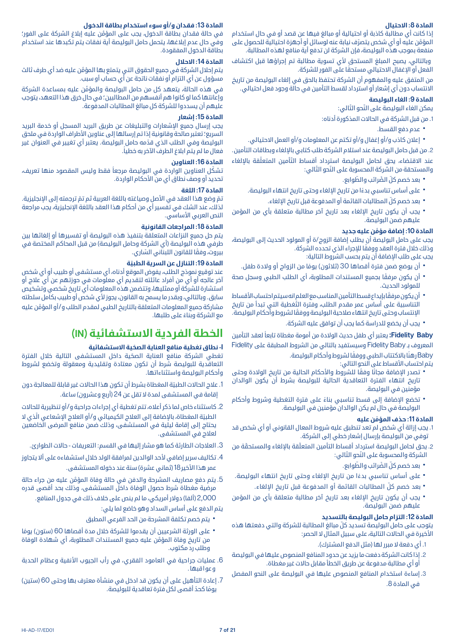### **المادة :8 االحتيال**

إذا كانت أي مطالبة كاذبة أو احتيالية أو مبالغ فيها عن قصد أو في حال استخدام المؤمّن عليه او اي شخص يتصرّف نيابة عنه لوسائل او اجهزة احتيالية للحصول على منفعة بموجب هذه البوليصة، فإن الشركة لن تدفع أية منافع لهذه المطالبة.

وبالتالي، يصبح المبلغ المستحق لأي تسوية مطالبة تم إجراؤها قبل اكتشاف ً الفعل أو اإلغفال االحتيالي مستحقا على الفور للشركة.

من المتفق عليه والمفهوم أن الشركة تحتفظ بالحق في إلغاء البوليصة من تاريخ االنتساب دون أي إشعار أو استرداد لقسط التأمين في حالة وجود فعل احتيالي.

### **المادة :9 الغاء البوليصة**

يمكن الغاء البوليصة على النّحو التّالي:

.1 من قبل الشركة في الحاالت المذكورة أدناه:

- 
- \* عدم دفع القسط.<br>\* إعلان كاذب و/أو إغفال و/أو تكتم عن المعلومات و/أو العمل الاحتيالي.<br>2. من قبل حامل البوليصة عند استلام الشركة طلب كتابي بالإلغاء وبطاقات التأمين.

عند الاقتضاء، يحق لحامل البوليصة استرداد أقساط التّأمين المتعلّقة بالإلغاء والمستحقة من الشركة المحسوبة على النّحو التّالي:

- 
- -
- بعد خصم كلّ الضّرائب والطّوابع.<br>• على أساس تناسبي بدءًا من تاريخ الإلغاء وحتى تاريخ انتهاء البوليصة.<br>• بعد خصم كلّ المطالبات القائمة أو المدفوعة قبل تاريخ الإلغاء.<br>• يجب أن يكون تاريخ الإلغاء بعد تاريخ آخر مطالبة متعلقة

### **المادة 10 َّ : إضافة مؤمن عليه جديد**

يجب على حامل البوليصة أن يطلب إضافة الزوج/ة أو المولود الحديث إلى البوليصة، وذلك خلال فترة العقد ووفقًا للإجراء الذي تحدده الشركة.

يجب على طلب اإلضافة أن يتم بحسب الشروط التالية:

- 
- أن يوضع ضمن فترة أقصاها 30 (ثلاثون) يومًا من الزواج أو ولادة طفل.<br>• أن يكون مرفقًا بجميع المستندات المطلوبة، أي الطلب الطبي وسجل صحة<br>للمولود الحديث.
- أن يكون مرفقًا بإيداع قسط التأمين المناسب مع العلم انهسيتم احتساب الأقساط<br>التناسبية على أساس عمر مقدم الطلب، وفترة التّغطية التي تبدأ من تاريخ ً اإلنتساب وحتى تاريخ انتهاء صالحية البوليصة ووفقا لشروط وأحكام البوليصة.
	- يجب أن يخضع للدراسة كما يجب أن توافق عليه الشركة.

**Baby Fidelity:** ً يعتبر أي طفل حديث الوالدة من أمومة مغطاة تابعا لعقد التأمين المعروف بـ Baby Fidelity وسيستفيد بالتالي من الشروط المطبقة على Fidelity Baby ً رهن ً ا باالكتتاب الطبي ووفقا لشروط وأحكام البوليصة.

يتم احتساب الأقساط على النحو التالي:

- تصدر الإضافة مجانًا وفقًا للشروط والأحكام الحالية من تاريخ الولادة وحتى<br> تاريخ انتهاء الفترة التعاقدية الحالية للبوليصة بشرط أن يكون الوالدان مؤمنين في البوليصة.
- تخضع الإضافة إلى قسط تناسبي بناءً على فترة التغطية وشروط وأحكام<br> البوليصة في حال لم يكن الوالدان مؤمنين في البوليصة.

### **المادة 11 ّ : حذف المؤمن عليه**

- .1 يجب إزالة أي شخص لم تعد تنطبق عليه شروط المعال القانوني أو أي شخص قد توفي من البوليصة بإرسال إشعار خطي إلى الشركة.
- 2. يحق لحامل البوليصة استرداد أقساط التأمين المتعلّقة بالإلغاء والمستحقّة من الشركة والمحسوبة على النَّحو التَّالي:
	-
- -
- بعد خصم كلّ الضّرائب والطّوابع.<br>• على أساس تناسبي بدءًا من تاريخ الإلغاء وحتى تاريخ انتهاء البوليصة.<br>• بعد خصم كلّ المطالبات القائمة أو المدفوعة قبل تاريخ الإلغاء.<br>• يجب أن يكون تاريخ الإلغاء بعد تاريخ آخر مطالبة متعلقة

### **المادة :12 التزام حامل البوليصة بالتسديد**

ّ يتوجب على حامل البوليصة تسديد كل مبالغ المطالبة للشركة والتي دفعتها هذه الأخيرة في الحالات التالية، على سبيل المثال لا الحصر:

- 1. أي دفعة لا مبرر لها (مثل الدفع المشترك).
- .2 إذا كانت الشركة دفعت ما يزيد عن حدود المنافع المنصوص عليها في البوليصة أو أي مطالبة مدفوعة عن طريق الخطأ مقابل حاالت غير مغطاة.
- .3 إساءة استخدام المنافع المنصوص عليها في البوليصة على النحو المفصل في المادة .8

### **المادة :13 فقدان و/أو سوء استخدام بطاقة الدخول**

َّ في حالة فقدان بطاقة الدخول، يجب على المؤمن عليه إبالغ الشركة على الفور؛ وفي حال عدم إبالغها، يتحمل حامل البوليصة أية نفقات يتم تكبدها عند استخدام بطاقة الدخول المفقودة.

### **المادة :14 االحالل**

َّ يتم إحالل الشركة في جميع الحقوق التي يتمتع بها المؤمن عليه ضد أي طرف ثالث مسؤول عن أي التزام أو نفقات ناتجة عن أي حساب أو سبب.

َّ في هذه الحالة، يتعهد كل من حامل البوليصة والمؤمن عليه بمساعدة الشركة وإعانتها كما لو كانوا هم أنفسهم من المطالبين؛ في حال خرق هذا التعهد، يتوجب عليهم أن يسددوا للشركة كل مبالغ المطالبات المدفوعة.

### **المادة :15 إشعار**

يجب إرسال جميع اإلشعارات والتبليغات عن طريق البريد المسجل أو خدمة البريد السريع؛ تعتبر صالحة وقانونية إذا تم إرسالها إلى عناوين الأطراف الواردة في ملحق ّ البوليصة وفي الطلب الذي قدمه حامل البوليصة. يعتبر أي تغيير في العنوان غير ً فعال ما لم يتم ابالغ الطرف اآلخر به خطيا.

### **المادة :16 العناوين**

تشكّل العناوين الواردة في البوليصة مرجعاً فقط وليس المقصود منها تعريف، تحديد أو وصف نطاق أي من الأحكام الواردة.

### **المادة :17 اللغة**

تمّ وضع هذا العقد في الأصل وصياغته باللغة العربية ثم تم ترجمته إلى الإنجليزية. لذلك، عند الشك في تفسير أي من أحكام هذا العقد باللغة اإلنجليزية، يجب مراجعة النص العربي الأساسي.

### **المادة :18 المراجعات القانونية**

يتم حل جميع النزاعات المتعلقة بتنفيذ هذه البوليصة أو تفسيرها أو إلغائها بين طرفي هذه البوليصة (أي الشركة وحامل البوليصة) من قبل المحاكم المختصة في بيروت، وفقًا للقانون اللبناني السّاري.

### **المادة 19 ّ : التنازل عن السرية الطبية**

عند توقيع نموذج الطلب، يفوض الموقع أدناه، أي مستشفى أو طبيب أو أي شخص آخر عالجه أو أي من أفراد عائلته لتقديم أي معلومات في حوزتهم عن أي عالج أو استشارة للشركة أو ممثليها، وتتضمن هذه المعلومات أي تاريخ شخصي وتشخيص سابق. وبالتالي، وبقدر ما يسمح به القانون، يجوز ألي شخص أو طبيب بكامل سلطته مشاركة جميع المعلومات المتعلقة بالتاريخ الطبي لمقدم الطلب و/ َّ أو المؤمن عليه ً مع الشركة وبناء على طلبها.

### **الخطة الفردية االستشفائية )IN)**

### **I ّ - نطاق تغطية منافع العناية الصحية االستشفائية**

ّ تغطي الشركة منافع العناية الصحية داخل المستشفى التالية خالل الفترة التعاقدية للبوليصة شرط أن تكون معتادة وتقليدية ومعقولة وتخضع لشروط وأحكام البوليصة واستثناءاتها.

- .1 ّ عالج الحاالت الطبية المغطاة بشرط أن تكون هذا الحاالت غير قابلة للمعالجة دون إقامة في المستشفى لمدة لا تقل عن 24 (أربع وعشرون) ساعة.
- .2 كاستثناء خاص لما ذكر أعاله، تتم تغطية أي إجراءات جراحية و/أو تنظيرية للحاالت الطبيّة المغطاة، بالإضافة إلى العلاج الكيميائي و/أو العلاج الإشعاعي الّذي لا يحتاج إلى إقامة ليلية في المستشفى، وذلك ضمن منافع المرضى الخاضعين لعالج في المستشفى.
	- 3. العلاجات الطارئة كما هو مشار إليها في القسم: التعريفات حالات الطوارئ.
- 4. تكاليف سرير إضافي لأحد الوالدين لمرافقة الولد خلال استشفاءه على ألا يتجاوز عمر هذا الأخير 18 (ثماني عشرة) سنة عند دخوله المستشفى.
- .5 َّ يتم دفع مصاريف المشرحة والدفن في حالة وفاة المؤمن عليه من جراء حالة مرضية مغطاة شرط حصول الوفاة داخل المستشفى، وذلك بحد أقصى قدره 2,000 (ألفا) دولار أمريكي، ما لم ينص على خلاف ذلك في جدول المنافع.
	- يتم الدفع على أساس السداد وهو خاضع لما يلي:
	- يتم خصم تكلفة المشرحة من الحد الفرعي المطبق
- على الورثة الشرعيين أن يقدموا للشركة خلال مدة أقصاها 60 (ستون) يومًا<br>` من تاريخ وفاة المؤمَّن عليه جميع المستندات المطلوبة، أي شهادة الوفاة وطلب رد مكتوب.
- 6. عمليات جراحية في العامود الفقرى، في رأب الجيوب الأنفية وعظام الحدبة وعواقبها.
- .7 إعادة التأهيل على أن يكون قد ادخل في منشأة معترف بها وحتى 60 )ستين( يومًا كحدٌ أقصى لكل فترة تعاقدية للبوليصة.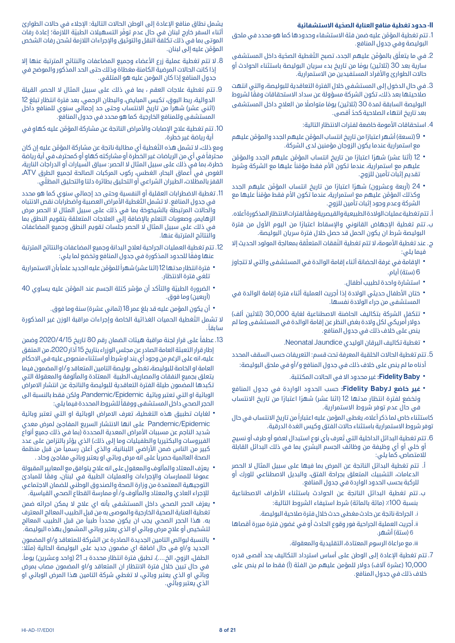### **II ّ - حدود تغطية منافع العناية الصحية االستشفائية**

- .1 َّ تتم تغطية المؤمن عليه ضمن فئة االستشفاء وحدودها كما هو محدد في ملحق البوليصة وفي جدول المنافع.
- 2. في ما يتعلّق بالمؤمّن عليهم الجدد، تصبح التّغطية الصحّية داخل المستشفى سارية بعد 30 (ثلاثين) يومًا من تاريخ بدء سريان البوليصة باستثناء الحوادث أو حالات الطوارئ والأفراد المستفيدين من الاستمرارية.
- .3 في حال الدخول إلى المستشفى خالل الفترة التعاقدية للبوليصة، والتي انتهت ً صالحيتها بعد ذلك، تكون الشركة مسؤولة عن سداد االستحقاقات وفقا لشروط البوليصة السابقة لمدة 30 (ثلاثين) يومًا متواصلًا من العلاج داخل المستشفى ّ بعد تاريخ انتهاء الصالحية كحد أقصى.
	- 4. استحقاقات الأمومة خاضعة لفترات الانتظار التالية:
- ۰ 9 (تسعة) أشهر اعتبارًا من تاريخ انتساب المؤمَّن عليهم الجدد والمؤمَّن عليهم<br>مع استمرارية عندما يكون الزوجان مؤمنين لدى الشركة.
- 12 (أثنا عشر) شهرًا اعتبارًا من تاريخ انتساب المؤمَّن عليهم الجدد والمؤمَّن<br>عليهم مع استمرارية، عندما تكون الأم فقط مؤمّناً عليها مع الشركة وشرط تقديم إثبات تأمين للزوج.
- 24 (أربعة وعشرون) شهرًا اعتبارًا من تاريخ انتساب المؤمَّن عليهم الجدد<br>وكذلك المؤمَّن عليهم مع استمرارية، عندما تكون الأم فقط مؤمّناً عليها مع الشركة وعدم وجود إثبات تأمين للزوج.

أ. ً تتم تغطية عمليات الوالدة الطبيعية والقيصرية وفقا لفترات االنتظار المذكورة أعاله.

- ب. تتم تغطية الإجهاض القانوني والإسقاط اعتبارًا من اليوم الاول من فترة البوليصة شرط ان يكون الحمل قد حصل خالل فترة سريان البوليصة.
- ج. عند تغطية الأمومة، لا تتم تغطية النّفقات المتعلّقة بمعالجة المولود الحديث إلا فيما يلي:
- الإقامة في غرفة الحضانة أثناء إقامة الوالدة في المستشفى والتي لا تتجاوز<br>6 (ستة) أيام.
	-
- استشارة واحدة لطبيب أطفال.<br>• ختان الأطفال حديثي الولادة إذا أجريت العملية أثناء فترة إقامة الوالدة في<br> المستشفى من جراء الولادة نفسها.
- تتكفل الشركة بتكاليف الحاضنة الاصطناعية لغاية 30,000 (ثلاثين ألف)<br>دولار أمريكي لكل ولادة بغض النظر عن إقامة الوالدة في المستشفى وما لم ينص على خالف ذلك في جدول المنافع.
	- تغطية تكاليف اليرقان الوليدي Jaundice Neonatal.
- .5 تتم تغطية الحاالت الخلقية المعرفة تحت قسم: التعريفات حسب السقف المحدد أدناه ما لم ينص على خالف ذلك في جدول المنافع و/أو في ملحق البوليصة:
	- **FidelityBaby:** غير محدود اال في الحاالت المكتتبة.
- ً ا من تاريخ االنتساب **غير خاضع لـBaby Fidelity:** حسب الحدود الواردة في جدول المنافع وتخضع لفترة انتظار مدتها 12 (اثنا عشر) شهرًا اعتبارًا من تاريخ الانتساب في حال عدم توفر شروط االستمرارية.

ً كاستثناء خاص لما ذكر أعاله، يغطى المؤمن عليه اعتبارا من تاريخ االنتساب في حال توفر شروط االستمرارية باستثناء حاالت الفتق وكيس الغدة الدرقية.

- .6 ُ تتم تغطية البدائل الداخلية التي تعرف بأي نوع استبدال لعضو أو طرف أو نسيج أو خلي أو أي وظيفة من وظائف الجسم البشري بما في ذلك البدائل القابلة للامتصاص، كما يلي:
- أ. تتم تغطية البدائل الناتجة عن المرض بما فيها على سبيل المثال ال الحصر الدعامات، التشبيك المتعلق بجراحة الفتق، والبديل االصطناعي للورك أو للركبة بحسب الحدود الواردة في جدول المنافع.
- ب. تتم تغطية البدائل الناتجة عن الحوادث باستثناء األطراف االصطناعية بنسبة 100٪ (مائة بالمائة) شرط استيفاء الشروط التالية:
	- i. الجراحة ناتجة عن حادث مغطى حدث خالل فترة صالحية البوليصة.
- ii. أجريت العملية الجراحية فور وقوع الحادث أو في غضون فترة مبررة أقصاها 6 (ستة) أشهر.

iii . مع مراعاة الرسوم المعتادة، التقليدية والمعقولة.

.7 تتم تغطية اإلعادة إلى الوطن على أساس استرداد التكاليف بحد أقصى قدره 10,000 (عشرة آلاف) دولار للمؤمن عليهم من الفئة (أ) فقط ما لم ينص على خلاف ذلك في جدول المنافع.

يشمل نطاق منافع اإلعادة إلى الوطن الحاالت التالية: اإلجالء في حاالت الطوارئ أثناء السفر خارج لبنان في حال عدم توفّر التسهيلات الطبيّة اللاّزمة؛ إعادة رفات الموتى بما في ذلك تكلفة النقل والتوثيق واإلجراءات الالزمة لشحن رفات الشخص َّ المؤمن عليه إلى لبنان.

- 8. لا تتم تغطية عملية زرع الأعضاء وجميع المضاعفات والنتائج المترتبة عنها إلا إذا كانت الحاالت المرضية الكامنة مغطاة وذلك حتى الحد المذكور والموضح في جدول المنافع إذا كان المؤمن عليه هو المتلقي.
- .9 تتم تغطية عالجات العقم ، بما في ذلك على سبيل المثال ال الحصر، القيلة الدوالية، ربط البوق، تكيس المبايض، والبطان الرحمي، بعد فترة انتظار تبلغ 12 (اثني عشر) شهراً من تاريخ الانتساب وحتى حد إجمالي سنوي للمنافع داخل المستشفى وللمنافع الخارجية كما هو محدد في جدول المنافع.
- 10. تتم تغطية علاج الإصابات والأمراض الناتجة عن مشاركة المؤمَّن عليه كهاو في أية رياضة غير خطرة.

ومع ذلك، لا تشمل هذه التّغطية أي مطالبة ناتجة عن مشاركة المؤمَّن عليه إن كان ً محترفا ٍ في أي من الرياضات غير الخطرة أو مشاركته كهاو أو كمحترف في أية رياضة خطرة، بما في ذلك على سبيل المثال ال الحصر: سباق السيارات أو الدراجات النارية، الغوص في أعماق البحار، الغطس، ركوب المركبات الصالحة لجميع الطرق ATV، ّ القفز بالمظالت، الطيران الشراعي أو التحليق بطائرة دلتا والتحليق المظلي.

- 11. تغطية الاضطرابات العقلية أو النفسية وحتى حد إجمالي سنوي كما هو محدد في جدول المنافع. لا تشمل التّغطية الأمراض العصبية واضطرابات نقص الانتباه والحاالت المرتبطة بالشيخوخة بما في ذلك على سبيل المثال ال الحصر مرض الزهايمر، وصعوبات التعلم باإلضافة إلى العالجات المتعلقة بتقويم النطق بما في ذلك على سبيل المثال ال الحصر جلسات تقويم النطق وجميع المضاعفات والنتائج المترتبة عنها.
- .12 تتم تغطية العمليات الجراحية لعالج البدانة وجميع المضاعفات والنتائج المترتبة ً عنها وفقا للحدود المذكورة في جدول المنافع وتخضع لما يلي:
- فترة انتظار مدتها 12 (اثنا عشر) شهراً للمؤمَّن عليه الجديد علماً بأن الاستمرارية<br> تلغي فترة الانتظار.
- الضرورة الطبيّة والتأكد أن مؤشر كتلة الجسم عند المؤمّن عليه يساوي 40<br>(أربعين) وما فوق.
	-

\* أن يكون المؤمن عليه قد بلغ عمر 18 (ثماني عشرة) سنة وما فوق.<br>لا تشمل التّغطية الحميات الغذائية الخاصة وإجراءات مراقبة الوزن غير المذكورة سابقاً.

- .13 ً عطفا على قرار لجنة مراقبة هيئات الضمان رقم 80 تاريخ 2020/4/15 وضمن إطار قرار التعبئة العامة الصادر عن مجلس الوزراء بتاريخ 15 آذار 2020، من المتفق عليه، انه على الرغم من وجود أي بند او شرط أو استثناء منصوص عليه في االحكام العامة او الخاصة للبوليصة، تغطي بوليصة التامين المتعاقد و/او المضمون فيما يتعلق بجميع النفقات والمصاريف الطبية المعتادة والمألوفة والمعقولة التي تكبدها المضمون طيلة الفترة التعاقدية للبوليصة والناتجة عن انتشار االمراض الوبائية او التي تعتبر وبائية Epidemic/Pandemic، ولكن فقط بالنسبة الى
- ً الحجر الصحي داخل المستشفى ووفقا للشروط المحددة فيما يلي: • لغايات تطبيق هذه التغطية، تعرف الامراض الوبائية او التي تعتبر وبائية<br>Pandemic/Epidemic على انها الانتشار السريع المفاجئ لمرض معدي شديد الناجم عن مسببات الأمراض المعدية المحددة (بما في ذلك جميع أنواع الفيروسات والبكتيريا والطفيليات وما إلى ذلك) الذي يؤثر بالتزامن على عدد كبير من الناس ضمن الأراضي اللبنانية، والذي أعلن رسمياً من قبل منظمة ً الصحة العالمية حصريا على انه مرض وبائي او يعتبر وبائي مفاجئ وحاد .
- يعرّف المعتاد والمألوف والمعقول على انه علاج يتوافق مع المعايير المقبولة<br>عمومًا   للممارسات والإجراءات والعمليات الطبية في لبنان، وفقًا للمبادئ التوجيهية المعتمدة من وزارة الصحة والصندوق الوطني للضمان االجتماعي لإلجراء العادي والمعتاد والمألوف و/ أو ممارسة القطاع الصحي القياسية.
- يعرّف الحجر الصحي داخل المستشفى بأنه اي علاج لا يمكن اجرائه ضمن<br>تغطية العناية الصحية الخارجية والموصى به من قبل الطبيب المعالج المعترف ً به. هذا الحجر الصحي يجب ان يكون محددا ً طبيا من قبل الطبيب المعالج لتشخيص أو عالج مرض وبائي او الذي يعتبر وبائي المشمول بهذه البوليصة.
- ُ بالنسبة لبوالص التامين الجديدة الصادرة عن الشركة للمتعاقد و/او المضمون<br>الجديد و/او في حال اضافة اي مضمون جديد على البوليصة الحالية (مثلاً: الطفل، الزوج، الخ....)، تطبق فترة انتظار محددة بــ 21 (واحد وعشرين) يوماً. في حال تبين خالل فترة االنتظار ان المتعاقد و/او المضمون مصاب بمرض وبائي او الذي يعتبر وبائي، ال تغطي شركة التامين هذا المرض الوبائي او الذي يعتبر وبائي.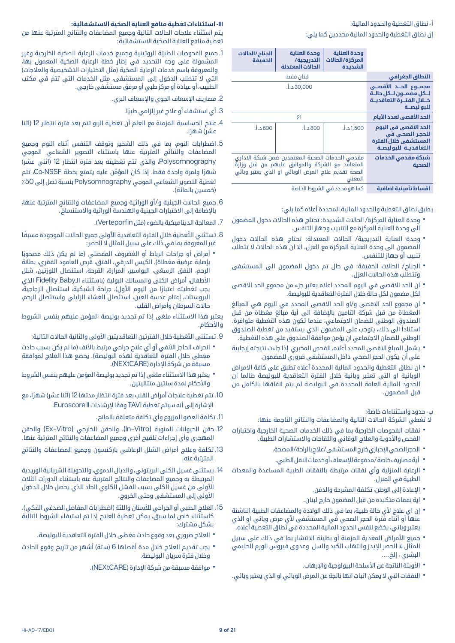### أ- نطاق التغطية والحدود المالية:

إن نطاق التغطية والحدود المالية محددين كما يلي:

|                                                                                               | وحدة العناية<br>المركزة/الحالات<br>الشديدة                                                                                                                        | وحدة العناية<br>التدريجية/<br>الحالات المعتدلة | الجناح /الحالات<br>الخفيفة |
|-----------------------------------------------------------------------------------------------|-------------------------------------------------------------------------------------------------------------------------------------------------------------------|------------------------------------------------|----------------------------|
| النطاق الجغرافي                                                                               | لبنان فقط                                                                                                                                                         |                                                |                            |
| مجمـــوع الحـــد الأقصــي<br>للكل مضمنون للكل حالية<br>خلال الفتـرة التعاقديـة<br>للبو ليصــة |                                                                                                                                                                   | 30,000 د.أ.                                    |                            |
| الحد الأقصى لعدد الأيام                                                                       | 21                                                                                                                                                                |                                                |                            |
| الحد الاقصى في اليوم<br>للحجر الصحي في<br>المستشفى خلال الفترة<br>التعاقديـة للبوليصـة        | 1,500 د.أ.                                                                                                                                                        | 800 د.أ.                                       | 600 د.أ.                   |
| شبكة مقدمى الخدمات<br>الصحية                                                                  | مقدمي الخدمات الصحية المعتمدين ضمن شبكة الاداري<br>المتعاقد مع الشركة والموافق عليهم من قبل وزارة<br>الصحة تقديم علاج المرض الوبائى او الذي يعتبر وبائى<br>المعنى |                                                |                            |
| الشرب المالا أمرود فالشراشرية                                                                 | كملهم وجددت الشبوط الخامية                                                                                                                                        |                                                |                            |

**اقساط تأمينية اضافية** كما هو محدد في الشروط الخاصة

يطبق نطاق التغطية والحدود المالية المحددة أعاله كما يلي:

- وحدة العناية المركزة/ الحالات الشديدة: تحتاج هذه الحالات دخول المضمون<br> الى وحدة العناية المركزة مع التنبيب وجهاز التنفس.
- وحدة العناية التدريجية/ الحالات المعتدلة: تحتاج هذه الحالات دخول<br> المضمون الى وحدة العناية المركزة مع العزل، الا ان هذه الحالات لا تتطلب تنبيب أو جهاز للتنفس.
- الجناح/ الحالات الخفيفة: في حال تم دخول المضمون الى المستشفى<br>وتتطلب هذه الحالات العزل.
- ان الحد الاقصى في اليوم المحدد اعلاه يعتبر جزء من مجموع الحد الاقصى<br>لكل مضمون لكل حالة خلال الفترة التعاقدية للبوليصة.
- ان مجموع الحد الاقصى و/او الحد الاقصى المحدد في اليوم هي المبالغ<br>المغطاة من قبل شركة التامين بالإضافة الى أية مبالغ مغطاة من قبل الصندوق الوطني للضمان االجتماعي، عندما تكون هذه التغطية متوافرة. ً استنادا الى ذلك، يتوجب على المضمون الذي يستفيد من تغطية الصندوق الوطني للضمان االجتماعي ان يؤمن موافقة الصندوق على هذه التغطية.
- يشمل المبلغ الاقصى المحدد أعلاه، الفحص المخبري إذا جاءت نتيجته إيجابية<br> على أن يكون الحجر الصحى داخل المستشفى ضرورى للمضمون.
- ان نطاق التغطية والحدود المالية المحددة أعلاه تطبق على كافة الامراض<br> الوبائية او التي تعتبر وبائية خلال الفترة التعاقدية للبوليصة طالما ان الحدود المالية العامة المحددة في البوليصة لم يتم انفاقها بالكامل من قبل المضمون.

### ب- حدود واستثناءات خاصة:

ال تغطي الشركة الحاالت التالية والمضاعفات والنتائج الناجمة عنها:

- نفقات الفحوصات الخارجية بما في ذلك الخدمات الصحية الخارجية واختبارات<br> الفحص والأدوية والعلاج الوقائى واللقاحات والاستشارات الطبية.
	-
	-
- الحجر الصحي الإجباري خارج المستشفى/علاج بالراحة/المصحة.<br>• أيةمصاريف خاصة/مدفوعة للإسعاف أو خدمات النقل الطبي.<br>• الرعاية المنزلية وأي نفقات مرتبطة بالنفقات الطبية المساعدة والمعدات<br> الطبية في المنزل.
	-
	-
- الإعادة إلى الوطن، تكلفة المشرحة والدفن.<br>• اية نفقات متكبدة من قبل المضمون خارج لبنان.<br>• إن اي علاج لأي حالة طبية، بما في ذلك الولادة والمضاعفات الطبية الناشئة<br>• عنها أو أثناء فترة الحجر الصحى فى المستشفى لأى مرض وبائى يعتبر وبائي، يخضع لنفس الحدود المالية المحددة في نطاق التغطية أعاله.
- جميع الأمراض المعدية المزمنة أو بطيئة الانتشار بما في ذلك على سبيل<br>المثال لا الحصر الإيدز والتهاب الكبد والسل وعدوى فيروس الورم الحليمي البشري ، إلخ....
	-
- الأوبئة الناتجة عن الأسلحة البيولوجية والإرهاب.<br>• النفقات التي لا يمكن اثبات انها ناتجة عن المرض الوبائي او الذي يعتبر وبائي.

### **III ّ - استثناءات تغطية منافع العناية الصحية االستشفائية:**

يتم استثناء عالجات الحاالت التالية وجميع المضاعفات والنتائج المترتبة عنها من ّ تغطية منافع العناية الصحية االستشفائية:

- 1. جميع الفحوصات الطبيّة الروتينية وجميع خدمات الرعاية الصحّية الخارجية وغير ّ المشمولة على وجه التحديد في إطار خطة الرعاية الصحية المعمول بها، والمعروفة باسم خدمات الرعاية الصحّية (مثل الاختبارات التشخيصية والعلاجات) التي لا تتطلب الدخول إلى المستشفى، مثل الخدمات التي تتم في مكتب الطبيب، أو عيادة أو مركز طبي أو مرفق مستشفى خارجي.
	- .2 مصاريف اإلسعاف الجوي واإلسعاف البري.
		- 3. أي استشفاء أو علاج غير إلزامي طبيًا.
- .4 عالج الحساسية المزمنة مع العلم أن تغطية الربو تتم بعد فترة انتظار 12 )اثنا عشا) شهرًا.
- .5 اضطرابات النوم، بما في ذلك الشخير وتوقف التنفس أثناء النوم وجميع المضاعفات والنتائج المترتبة عنها باستثناء التصوير الشعاعي الموجي Polysomnography، والذي تتم تغطيته بعد فترة انتظار 12 (اثني عشر) ًشهر َّ ا ولمرة واحدة فقط. إذا كان المؤمن عليه يتمتع بخطة NSSF-Co، تتم تغطية التصوير الشعاعي الموجي Polysomnography بنسبة تصل إلى ٪50 (خمسين بالمائة).
- .6 جميع الحاالت الجينية و/أو الوراثية وجميع المضاعفات والنتائج المترتبة عنها، باإلضافة إلى االختبارات الجينية والهندسة الوراثية واالستنساخ.
	- .7 المعالجة الديناميكية بالضوء )مثل Verteporfin).
- 8. تستثني التَّغطية خلال الفترة التعاقدية الأولى جميع الحالات الموجودة مسبقًا غير المعروفة بما في ذلك على سبيل المثال ال الحصر:
- أمراض أو جراحات الرباط أو الغضروف المفصلي (ما لم يكن ذلك مصحوبًا<br>بإصابة عرضية مغطاة)، الكيس الدرقي، الفتق، قرص العامود الفقري، بطانة الرحم، النفق الرسغي، البواسير، المرارة، القرحة، استئصال اللوزتين، شلل الأطفال، أمراض الكلى والمسالك البولية (باستثناء الـFidelity Baby الذي يجب تغطيته اعتبارًا من اليوم الأول)، جراحة الشبكية، استئصال الزجاجية، البروستات، إعتام عدسة العين، استئصال الغشاء الزليلي واستئصال الرحم، حاالت السرطان وأمراض القلب.

يعتبر هذا االستثناء ملغى إذا تم تجديد بوليصة المؤمن عليهم بنفس الشروط والأحكام.

- 9. تستثني التّغطية خلال الفترتين التعاقديتين الأولى والثانية الحالات التالية:
- انحراف الحاجز الأنفي أو أي علاج جراحي مرتبط بالأنف (ما لم يكن بسبب حادث<br>مغطى خلال الفترة التعاقدية لهذه البوليصة). بخضع هذا العلاج لموافقة مسبقة من شركة اإلدارة )NEXtCARE).
- يعتبر هذا الاستثناء ملغى إذا تم تجديد بوليصة المؤمن عليهم بنفس الشروط<br>والأحكام لمدة سنتين متتاليتين.
- 10. تتم تغطية علاجات أمراض القلب بعد فترة انتظار مدتها 12 (اثنا عشر) شهرًا، مع اإلشارة إلى أنه سيتم تغطية TAVI ً وفقا إلرشادات II Euroscore.
	- .11 تكلفة العضو المزروع وأي تكلفة متعلقة بالمانح.
- 12. حقن الحيوانات المنوية (In–Vitro)، والحقن الخارجي (Ex–Vitro) والحقن المهجري وأي إجراءات تلقيح أخرى وجميع المضاعفات والنتائج المترتبة عنها.
- .13 تكلفة وعالج أمراض الشلل الرعاشي باركنسون وجميع المضاعفات والنتائج المترتبة عنه.
- .14 يستثنى غسيل الكلى البريتوني، والديال الدموي، والتحويلة الشريانية الوريدية المرتبطة به وجميع المضاعفات والنتائج المترتبة عنه باستثناء الدورات الثالث األولى من غسيل الكلى بسبب الفشل الكلوي الحاد الذي يحصل خالل الدخول األولي إلى المستشفى وحتى الخروج.
- 15. العلاج الطبي أو الجراحي للأسنان واللثة (اضطرابات المفاصل الصدغى الفكى). كاستثناء خاص لما سبق، يمكن تغطية العالج إذا تم استيفاء الشروط التالية بشكل مشترك:
	- العالج ضروري بعد وقوع حادث مغطى خالل الفترة التعاقدية للبوليصة.
- يجب تقديم العلاج خلال مدة أقصاها 6 (ستة) أشهر من تاريخ وقوع الحادث<br>• وخلال فترة سريان البوليصة.
	- موافقة مسبقة من شركة اإلدارة )NEXtCARE).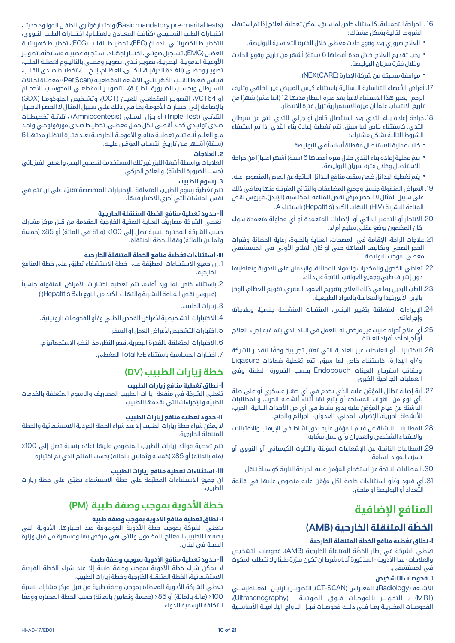- .16 الجراحة التجميلية. كاستثناء خاص لما سبق، يمكن تغطية العالج إذا تم استيفاء الشروط التالية بشكل مشترك:
	- العالج ضروري بعد وقوع حادث مغطى خالل الفترة التعاقدية للبوليصة.
- يجب تقديم العلاج خلال مدة أقصاها 6 (ستة) أشهر من تاريخ وقوع الحادث<br>وخلال فترة سريان البوليصة.
	- موافقة مسبقة من شركة اإلدارة )NEXtCARE).
- 17. أمراض الأعضاء التناسلية النسائية باستثناء كيس المبيض غير الخلقى وتليف الرحم. يعتبر هذا الاستثناء لاغياً بعد فترة انتظار مدتها 12 (اثنا عشر) شهرًا من ً تاريخ االنتساب علما ان ميزة االستمرارية تزيل فترة االنتظار.
- .18 جراحة إعادة بناء الثدي بعد استئصال كامل أو جزئي للثدي ناتج عن سرطان الثدي. كاستثناء خاص لما سبق، تتم تغطية إعادة بناء الثدي إذا تم استيفاء الشروط التالية بشكل مشترك:
	- ً كانت عملية االستئصال مغطاة أساسا في البوليصة.
- تتمّ عملية إعادة بناء الثدي خلال فترة أقصاها 6 (ستة) أشهر اعتبارًا من جراحة<br> الاستئصال وخلال فترة سريان البوليصة.
- يتم تغطية البدائل ضمن سقف منافع البدائل الناتجة عن المرض المنصوص عنه.
- 19. الأمراض المنقولة جنسيًا وجميع المضاعفات والنتائج المترتبة عنها بما في ذلك على سبيل المثال لا الحصر مرض نقص المناعة المكتسبة (الإيدز)، فيروس نقص المناعة البشرية )HIV )،التهاب الكبد )Hepatitis )باستثناء A.
- .20 االنتحار أو التدمير الذاتي أو اإلصابات المتعمدة أو أي محاولة متعمدة سواء كان المضمون بوضع عقلي سليم أم ال.
- 21. علاجات الراحة، الاقامة في المصحات، العناية بالخلوة، رعاية الحضانة وفترات الحجر الصحي وتكاليف النقاهة حتى لو كان العلاج الأولى في المستشفى مغطى بموجب البوليصة.
- 22. تعاطي الكحول والمخدرات والمواد المماثلة، والإدمان على الأدوية وتعاطيها دون إشراف طبي وجميع العواقب الناتجة عن ذلك.
- .23 الطب البديل بما في ذلك العالج بتقويم العمود الفقري، تقويم العظام، الوخز بالابر, الأيورفيدا والمعالجة بالمواد الطبيعية.
- .24 ً اإلجراءات المتعلقة بتغيير الجنس، المنتجات المنشطة جنسيا، وعالجاته وإجراءاته.
- .25 أي عالج أجراه طبيب غير مرخص له بالعمل في البلد الذي يتم فيه إجراء العالج أو أجراه أحد أفراد العائلة.
- 26. الاختبارات أو العلاجات غير العادية التي تعتبر تجريبية وفقًا لتقدير الشركة و/أو اإلدارة. كاستثناء خاص لما سبق، تتم تغطية ضمادات Ligasure وحقائب استرجاع العينات Endopouch ّ بحسب الضرورة الطبية وفي العمليات الجراحية الكبرى.
- .27 َّ أية إصابة تطال المؤمن عليه الذي يخدم في أي جهاز عسكري أو على صلة باي نوع من القوات المسلحة أو يتبع لها أثناء أنشطة الحرب، والمطالبات َّ الناشئة عن قيام المؤمن عليه بدور نشاط في أي من األحداث التالية: الحرب، الأنشطة الحربية، الإضراب المدني، العدوان، الجرائم والجنح.
- .28 َّ المطالبات الناشئة عن قيام المؤمن عليه بدور نشاط في اإلرهاب واالغتياالت واالعتداء الشخصي والعدوان وأي عمل مشابه.
- .29 المطالبات الناتجة عن اإلشعاعات المؤينة والتلوث الكيميائي أو النووي أو نسرّب المواد السامَة.
	- .30 المطالبات الناتجة عن استخدام المؤمن عليه الدراجة النارية كوسيلة تنقل.
- 31. أي قيود و/أو استثناءات خاصة لكل مؤمَّن عليه منصوص عليها في قائمة التعداد أو البوليصة أو ملحق.

## **المنافع اإلضافية**

### **َ الخطة المتنقلة الخارجية )AMB)**

### **I- نطاق تغطية منافع الخطة المتنقلة الخارجية**

َ تغطي الشركة في إطار الخطة المتنقلة الخارجية )AMB)، فحوصات التشخيص والعلاجات - عدا الآدوية - المذكورة ادناه شرط ان تكون مبرَّرة طبيًا ولا تتطلب المكوث في المستشفى.

### **.1 فحوصات التشخيص**

الأشــعة (Radiology)، المغــراس (CT-SCAN)، التصويــر بالرنيــن ا لمغنا طيســي (MRI) ، التصوير بالموجـات فـوق الصوتيـة (Ultrasonography)، الفحوصــات المخبريــة بمــا فــي ذلــك فحوصــات قبــل الــزواج الإلزاميــة الأساســية

)maritaltests-Basicmandatorypre ً ) واختبـار غوثـري للطفـل المولـود حديثـا، اختبــارات الطــب النســيجي (كثافــة المعــادن بالعظــام)، اختبــارات الطــب النــووي، التخطيــط الكهربائــي للدمــاغ (EEG)، تخطيـــط القلــب (ECG)، تخطيــط كهربائيــة العضــل )EMG)، تســجيل صوتــي، اختبــار إجهــاد، اســتجابة عصبيــة مســتحثه، تصويــر األوعيــة الدمويــة البصريــة، تصويــر ثــدي، تصويــر ومضــي بالثاليــوم لعضلــة القلــب، تصويـر ومضـي (الغـدة الدرقيــة، الكلــى، العظـام، إلـخ ...)، تخطيــط صـدى القلــب، قيـاس ضغـط القلـب الكهربائـي، الأشـعة المقطعيـة (Pet Scan) (مغطـاة لحـالات الســرطان وبحســب الضــرورة الطبيّــة)، التصويــر المقطعــي المحوســب للأحجــام أو 64VCT، التصويــر المقطعــي للعيــن )OCT)، وتشــخيص الجلوكومــا )GDX ) باإلضافـة إلـى اختبـارات األمومـة بمـا فـي ذلـك علـى سـبيل المثـال ال الحصـر االختبـار الثلاثــي (Triple Test) أو بــزل الســلى (Amniocentesis) ، ثلاثــة تخطيطــات صـدى توليـدي كحـد أقصـى لـكل حمـل مغطـى، تخطيـط صـدى مورفولوجـي واحـد مـع العلـم أنــه تتــم تغطيــة منافـع الأمومــة الخارجيــة بعــد فتــرة انتظــار مدتهــا 6 (ســتة) أشــهر مــن تاريــخ إنتســاب المؤمّــن عليــه.

### **.2 العالجات**

العالجات بواسطة أشعة الليزر غير تلك المستخدمة لتصحيح البصر، والعالج الفيزيائي (حسب الضرورة الطبيّة)، والعلاج الحركي.

### **.3 رسوم الطبيب**

ً تتم تغطية رسوم الطبيب المتعلقة باإلختبارات المتخصصة تقنيا، على أن تتم في نفس المنشآت التي أجري االختبار فيها.

### **II- حدود تغطية منافع الخطة المتنقلة الخارجية**

ّ تغطي الشركة مصاريف العناية الصحية الخارجية المقدمة من قبل مركز مشارك حسب الشبكة المختارة بنسبة تصل إلى 100٪ (مائة في المائة) أو 85٪ (خمسة وثمانين بالمائة) وفقا للخطة المنتقاة.

### **III- استثناءات تغطية منافع الخطة المتنقلة الخارجية**

- 1. إن جميع الاستثناءات المطبّقة على خطة الاستشفاء تطبّق على خطة المنافع الخارجية.
- 2. باستثناء خاص لما ورد أعلاه، تتم تغطية اختبارات الأمراض المنقولة جنسياً )فيروس نقص المناعة البشرية والتهاب الكبد من النوع باءHepatitisB) )
	- .3 زيارات الطبيب.
	- 4. الاختبارات التشخيصية لأغراض الفحص الطبي و/أو الفحوصات الروتينية.
		- 5. اختبارات التشخيص لأغراض العمل أو السفر.
	- .6 ّ االختبارات المتعلقة بالقدرة البصرية، قصر النظر، مد النظر، االستجماتيزم.
		- .7 اختبارات الحساسية باستثناء IGE Total المغطى.

### **خطة زيارات الطبيب )DV )**

### **I- نطاق تغطية منافع زيارات الطبيب**

تغطي الشركة في منفعة زيارات الطبيب المصاريف والرسوم المتعلقة بالخدمات الطبيّة والإجراءات التي يقدمها الطبيب .

### **II- حدود تغطية منافع زيارات الطبيب**

ال يمكن شراء خطة زيارات الطبيب إال عند شراء الخطة الفردية االستشفائية والخطة المتنقلة الخارجية.

تتم تغطية فوائد زيارات الطبيب المنصوص عليها أعلاه بنسبة تصل إلى 100٪ (مئة بالمائة) أو 85٪ (خمسة وثمانين بالمائة) بحسب المنتج الذي تم اختياره .

### **III- استثناءات تغطية منافع زيارات الطبيب**

ان جميع الاستثناءات المطبّقة على خطة الاستشفاء تطبّق على خطة زيارات الطبيب.

### **خطة األدوية بموجب وصفة طبية )PM )**

### **I- نطاق تغطية منافع األدوية بموجب وصفة طبية**

تغطي الشركة بموجب خطة الأدوية الموصوفة عند اختيارها، الأدوية التي يصفها الطبيب المعالج للمضمون والتي هي مرخص بها ومسعرة من قبل وزارة الصحة في لبنان.

### **II- حدود تغطية منافع األدوية بموجب وصفة طبية**

لا يمكن شراء خطة الأدوية بموجب وصفة طبية إلا عند شراء الخطة الفردية االستشفائية، الخطة المتنقلة الخارجية وخطة زيارات الطبيب.

تغطي الشركة الأدوية المعطاة بموجب وصفة طبية من قبل مركز مشارك بنسبة 100٪ (مائة بالمائة) أو 85٪ (خمسة وثمانين بالمائة) حسب الخطة المختارة ووفقًا للتكلفة الرسمية للدواء.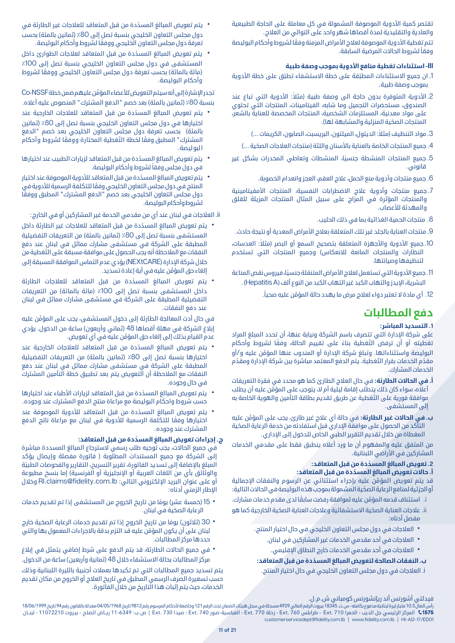تقتصر كمية الأدوية الموصوفة المشمولة في كل معاملة على الحاجة الطبيعية والعادية والتقليدية لمدة أقصاها شهر واحد على التوالي من العالج.

تتم تغطية الأدوية الموصوفة لعلاج الأمراض المزمنة وفقًا لشروط وأحكام البوليصة ً وفقا لشروط الحاالت المرضية السابقة.

### **III- استثناءات تغطية منافع األدوية بموجب وصفة طبية**

- 1. ان جميع الاستثناءات المطبّقة على خطة الاستشفاء تطبّق على خطة الأدوية بموجب وصفة طبية.
- 2. الأدوية المتوفرة بدون حاجة الى وصفة طبية (مثلاً: الأدوية التي تباع عند الصندوق، مستحضرات التجميل وما شابه، الفيتامينات، المنتجات التي تحتوي على مواد معدنية، المستلزمات الشخصية، المنتجات المخصصة للعناية بالشعر، المنتجات الصحّية المنزلية والمشابهة لها).
	- 3. مواد التنظيف (مثلاً: الديتول، الميلتون، البريسبت، الصابون، الكريمات ...)
	- 4. جميع المنتجات الخاصة بالعناية بالأسنان واللثة (منتجات العلاجات الصحّية ...)
- .5 ً جميع المنتجات المنشطة جنسيا، المنشطات وتعاطي المخدرات بشكل غير قانوني.
	- .6 جميع منتجات وأدوية منع الحمل، عالج العقم، العجز وانعدام الخصوبة.
- .7 جميع منتجات وأدوية عالج االضطرابات النفسية، المنتجات األمفيتامينية والمنتجات المؤثرة في المزاج على سبيل المثال المنتجات المزيلة للقلق والمهدئة لألعصاب.
	- .8 منتجات الحمية الغذائية بما في ذلك الحليب.
- .9 منتجات العناية بالجلد غير تلك المتعلقة بعالج األمراض المعدية أو نتيجة حادث.
- 10. جميع الأدوية والأجهزة المتعلقة بتصحيح السمع أو البصر (مثلاً: العدسات، النظارات والمنتجات المانعة لالنعكاس( وجميع المنتجات التي تستخدم لتنظيفها وصيانتها.
- 11. جميع الأدوية التي تستعمل لعلاج الأمراض المتنقلة جنسيًا، فيروس نقص المناعة البشرية، اإليدز والتهاب الكبد غير التهاب الكبد من النوع ألف )HepatitisA ).
	- 12. أي مادة لا تعتبر دواء لعلاج مرض ما يهدد حالة المؤمّن عليه صحياً.

## **دفع المطالبات**

### **.1 التسديد المباشر:**

على شركة اإلدارة التي تتصرف باسم الشركة ونيابة عنها، أن تحدد المبلغ المراد تغطيته أو أن ترفض التّغطية بناءً على تقييم الحالة، وفقًا لشروط وأحكام َّ البوليصة واستثناءاتها. وتبلغ شركة اإلدارة أو المندوب عنها المؤمن عليه و/أو مقدّم الخدمات بقرار التّغطية. يتم الدفع المعتمد مباشرة بين شركة الإدارة ومقدّم الخدمات المشارك.

- **أ. في الحاالت الطارئة:** في حال العالج الطارئ كما هو محدد في فقرة التعريفات َّ أعاله، سواء كان ذلك يتطلب إقامة ليلية أم ال، يتوجب على المؤمن عليه أن يطلب ّ موافقة فورية على التغطية عن طريق تقديم بطاقة التأمين والهوية الخاصة به إلى المستشفى.
- **ب. في الحاالت غير الطارئة:** َّ في حالة أي عالج غير طارئ، يجب على المؤمن عليه ّ التأكد من الحصول على موافقة اإلداري قبل استفادته من خدمة الرعاية الصحية المغطاة من خلال تقديم التقرير الطبي الخاص للدخول إلى الإداري.

من المتفق عليه والمفهوم أن ما ورد أعاله ينطبق فقط على مقدمي الخدمات المشاركين في الأراضي اللبنانية.

### **2 ّ . تعويض المبالغ المسددة من قبل المتعاقد:**

### **أ. ّ حاالت تعويض المبالغ المسددة من قبل المتعاقد:**

َّ قد يتم تعويض المؤمن عليه بإجراء استثنائي عن الرسوم والنفقات اإلجمالية ّ أو الجزئية لمنافع الرعاية الصحية المشمولة بموجب هذه البوليصة في الحاالت التالية:

- َّ استئناف قدمه المؤم i. ً ن عليه لموافقة رفضت سابقا لدى مقدم خدمات مشارك.
- ii. علاجات العناية الصحّية الاستشفائية وعلاجات العناية الصحّية الخارجية كما هو مفصل أدناه:
	-
	- العلاجات في دول مجلس التعاون الخليجي في حال اختيار المنتج.<br>• العلاجات في أحد مقدمي الخدمات غير المشاركين في لبنان.<br>• العلاجات في أحد مقدمي الخدمات خارج النطاق الإقليمي.<br>**ب. النفقات الصالحة لتعويض المبالغ المسدّدة من** 
		-

i. العالجات في دول مجلس التعاون الخليجي في حال اختيار المنتج.

- يتم تعويض المبالغ المسدّدة من قبل المتعاقد للعلاجات غير الطارئة في<br>دول مجلس التعاون الخليجي بنسبة تصل إلى 80٪ (ثمانين بالمئة) بحسب ً تعرفة دول مجلس التعاون الخليجي ووفقا لشروط وأحكام البوليصة.
- يتم تعويض المبالغ المسدّدة من قبل المتعاقد لعلاجات الطوارئ داخل<br>المستشفى في دول مجلس التعاون الخليجي بنسبة تصل إلى 100٪ (مائة بالمائة) بحسب تعرفة دول مجلس التعاون الخليجي ووفقًا لشروط وأحكام البوليصة.

َّ تجدر اإلشارة إلى أنه سيتم التعويض لألعضاء المؤمن عليهم ضمن خطة NSSF-Co بنسبة 80٪ (ثمانين بالمئة) بعد خصم "الدفع المشترك" المنصوص عليه أعلاه.

- يتم تعويض المبالغ المسدّدة من قبل المتعاقد للعلاجات الخارجية عند<br>• أختيارها في دول مجلس التعاون الخليجي بنسبة تصل إلى 80٪ (ثمانين بالمئة) بحسب تعرفة دول مجلس التعاون الخليجي بعد خصم "الدفع المشترك" المطبق وفقًا لخطة التّغطية المختارة ووفّقًا لشروط وأحكام ا لبو ليصة .
- يتم تعويض المبالغ المسدّدة من قبل المتعاقد لزيارات الطبيب عند اختيارها<br>في دول مجلس وفقاً لشروط وأحكام البوليصة.
- يتم تعويض المبالغ المسدّدة من قبل المتعاقد للأدوية الموصوفة عند اختيار<br>المنتج في دول مجلس التعاون الخليجي وفقًا للتكلفة الرسمية للأدوية في ً دول مجلس التعاون الخليجي بعد خصم "الدفع المشترك" المطبق ووفقا لشروط وأحكام البوليصة.

ii. العالجات في لبنان عند أي من مقدمي الخدمة غير المشاركين أو في الخارج:

- يتم تعويض المبالغ المسدّدة من قبل المتعاقد للعلاجات غير الطارئة داخل<br>• المستشفى بنسبة تصل إلى 80٪ (ثمانين بالمئة) من التعريفات التفضيلية المطبقة على الشركة في مستشفى مشارك مماثل في لبنان عند دفع ّ النفقات مع المالحظة أنه يجب الحصول على موافقة مسبقة على التغطية من خالل شركة اإلدارة )NEXtCARE )يؤدي عدم التماس الموافقة المسبقة إلى َّ إلغاء حق المؤمن عليه في أية إعادة تسديد.
- <mark>يتم تعويض المبالغ المسدّدة من قبل المتعاقد للعلاجات الطارئة</mark><br>داخل المستشفى بنسبة تصل إلى 100٪ (مائة بالمائة) من التعريفات التفضيلية المطبقة على الشركة في مستشفى مشارك مماثل في لبنان عند دفع النفقات.

َّ في حال أدت المعالجة الطارئة إلى دخول المستشفى، يجب على المؤمن عليه إبلاغ الشركة في مهلة أقصاها 48 (ثماني وأربعون) ساعة من الدخول. يؤدي َّ عدم القيام بذلك إلى إلغاء حق المؤمن عليه في أي تعويض.

- يتم تعويض المبالغ المسدّدة من قبل المتعاقد للعلاجات الخارجية عند<br>• اختيارها بنسبة تصل إلى 80٪ (ثمانين بالمئة) من التعريفات التفضيلية المطبقة على الشركة في مستشفى مشارك مماثل في لبنان عند دفع النفقات مع المالحظة أن التعويض يتم بعد تطبيق خطة التأمين المشترك في حال وجوده.
- يتم تعويض المبالغ المسدّدة من قبل المتعاقد لزيارات الأطباء عند اختيارها<br>حسب شروط واحكام البوليصة مع مراعاة منتج الدفع المشترك عند وجوده.
- ً يتم تعويض المبالغ المسدّدة من قبل المتعاقد للأدوية الموصوفة عند<br>اختيارها وفقًا للتكلفة الرسمية للأدوية في لبنان مع مراعاة ناتج الدفع المشترك عند وجوده.

### **ج. ّ إجراءات تعويض المبالغ المسددة من قبل المتعاقد:**

 في جميع الحاالت، يجب توجيه طلب رسمي السترجاع المبالغ المسددة مباشرة إلى الشركة مع جميع المستندات المطلوبة ) فاتورة مفصلة وإيصال يؤكد المبلغ بالاضافة إلى تسديد الفاتورة، تقرير التسريح، التقارير والفحوصات الطبيّة والوثائق بأي من اللغات العربية أو الإنجليزية أو الفرنسية) إما بنسخ مطبوعة أو على عنوان البريد الإلكتروني التالي: Rl.claims@fidelity.com.lb وخلال اإلطار الزمني أدناه:

- 15 (خمسة عشر) يومًا من تاريخ الخروج من المستشفى إذا تم تقديم خدمات<br>الرعاية الصحّية في لبنان.
- 30 (ثلاثون) يومًا من تاريخ الخروج إذا تم تقديم خدمات الرعاية الصحّية خارج<br> لبنان على أن يكون المؤمَّن عليه قد التزم بدقة بالاجراءات المعمول بها والتي حددها مركز المطالبات.
- في جميع الحالات الطارئة، قد يتم الدفع على شرط إضافي يتمثل في إبلاغ<br>مركز المطالبات بحالة الاستشفاء خلال 48 (ثمانية وأربعين) ساعة من الدخول.

يتم تسديد جميع المطالبات التي تم تكبدها بعمالت أجنبية بالليرة اللبنانية وذلك حسب تسعيرة الصرف الرسمي المطبق في تاريخ العالج أو الخروج من مكان تقديم الخدمات، حيث يتم إثبات هذا التاريخ من خالل الفاتورة.

فيدلتي أشورنس أند ريإنشورنس كومباني ش.م.ل.

راس المال 10.5 مليار ليرة لبنانية مدفوع بكامله - س.ت. 18345 بيروت الرقم المالي 4936 مسجلة في سجل هيئات الضمان تحت الرقم 121 وخاضعة لأحكام المرسوم رقم 9812 تاريخ 04/05/1968 معدلة بالقانون رقم 94 تاريخ 18/06/1999 معدلة بالقا المركز الرئيسي جل الديب - الحمرا 710 .Ext - طرابلس 760 .Ext - زحلة 770 .Ext - العباسية-صـور 740 .Ext - صيدا 730 .Ext | ص.ب: 11-6349 ريــاض الصلـح - بيـروت 11072210 - لبنــان customerservicedept@fidelity.com.lb | www.fidelity.com.lb | HI-AD-17/ED01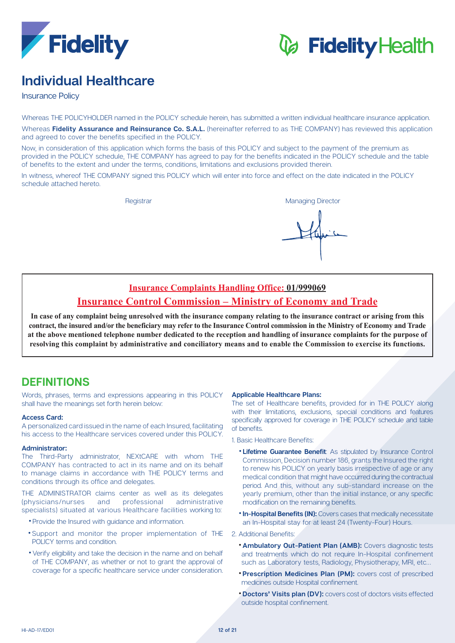

# *C* Fidelity Health

## **Healthcare Individual**

**Insurance Policy** 

Whereas THE POLICYHOLDER named in the POLICY schedule herein, has submitted a written individual healthcare insurance application.

Whereas Fidelity Assurance and Reinsurance Co. S.A.L. (hereinafter referred to as THE COMPANY) has reviewed this application and agreed to cover the benefits specified in the POLICY.

Now, in consideration of this application which forms the basis of this POLICY and subject to the payment of the premium as provided in the POLICY schedule. THE COMPANY has agreed to pay for the benefits indicated in the POLICY schedule and the table of benefits to the extent and under the terms, conditions, limitations and exclusions provided therein.

In witness, whereof THE COMPANY signed this POLICY which will enter into force and effect on the date indicated in the POLICY schedule attached hereto.

Registrar **Managing Director** Managing Director

### **Insurance Complaints Handling Office: 01/999069 Insurance Control Commission – Ministry of Economy and Trade**

### In case of any complaint being unresolved with the insurance company relating to the insurance contract or arising from this contract, the insured and/or the beneficiary may refer to the Insurance Control commission in the Ministry of Economy and Trade at the above mentioned telephone number dedicated to the reception and handling of insurance complaints for the purpose of resolving this complaint by administrative and conciliatory means and to enable the Commission to exercise its functions.

### **DEFINITIONS**

Words, phrases, terms and expressions appearing in this POLICY shall have the meanings set forth herein below:

### **Access Card:**

A personalized card issued in the name of each Insured, facilitating his access to the Healthcare services covered under this POLICY.

### **:Administrator**

The Third-Party administrator. NEXtCARE with whom THE COMPANY has contracted to act in its name and on its behalf to manage claims in accordance with THE POLICY terms and conditions through its office and delegates.

THE ADMINISTRATOR claims center as well as its delegates (physicians/nurses and professional administrative specialists) situated at various Healthcare facilities working to:

- Provide the Insured with guidance and information.
- \*Support and monitor the proper implementation of THE POLICY terms and condition.
- Verify eligibility and take the decision in the name and on behalf of THE COMPANY, as whether or not to grant the approval of coverage for a specific healthcare service under consideration.

### **Applicable Healthcare Plans:**

The set of Healthcare benefits, provided for in THE POLICY along with their limitations, exclusions, special conditions and features specifically approved for coverage in THE POLICY schedule and table of benefits.

1 Basic Healthcare Benefits:

- **. Lifetime Guarantee Benefit:** As stipulated by Insurance Control Commission, Decision number 186, grants the Insured the right to renew his POLICY on yearly basis irrespective of age or any medical condition that might have occurred during the contractual period. And this, without any sub-standard increase on the yearly premium, other than the initial instance, or any specific modification on the remaining benefits.
- **In-Hospital Benefits (IN):** Covers cases that medically necessitate an In-Hospital stay for at least 24 (Twenty-Four) Hours.
- 2. Additional Benefits:
	- **\* Ambulatory Out-Patient Plan (AMB):** Covers diagnostic tests and treatments which do not require In-Hospital confinement such as Laboratory tests, Radiology, Physiotherapy, MRI, etc...
	- **Prescription Medicines Plan (PM):** covers cost of prescribed medicines outside Hospital confinement.
	- **Doctors' Visits plan (DV):** covers cost of doctors visits effected outside hospital confinement.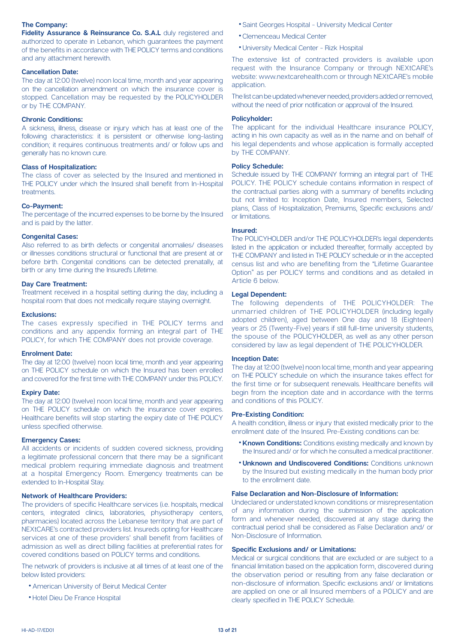### **The Company:**

Fidelity Assurance & Reinsurance Co. S.A.L duly registered and authorized to operate in Lebanon, which quarantees the payment of the benefits in accordance with THE POLICY terms and conditions and any attachment herewith.

### **Cancellation Date:**

The day at 12:00 (twelve) noon local time, month and year appearing on the cancellation amendment on which the insurance cover is stopped. Cancellation may be requested by the POLICYHOLDER or by THE COMPANY.

### **Chronic Conditions:**

A sickness, illness, disease or injury which has at least one of the following characteristics: it is persistent or otherwise long-lasting condition; it requires continuous treatments and/ or follow ups and generally has no known cure.

### **Class of Hospitalization:**

The class of cover as selected by the Insured and mentioned in THE POLICY under which the Insured shall benefit from In-Hospital .treatments

### **Co-Payment:**

The percentage of the incurred expenses to be borne by the Insured and is paid by the latter.

### **Congenital Cases:**

Also referred to as birth defects or congenital anomalies/ diseases or illnesses conditions structural or functional that are present at or before birth. Congenital conditions can be detected prenatally, at birth or any time during the Insured's Lifetime.

### **Day Care Treatment:**

Treatment received in a hospital setting during the day, including a hospital room that does not medically require staying overnight.

### **:Exclusions**

The cases expressly specified in THE POLICY terms and conditions and any appendix forming an integral part of THE POLICY, for which THE COMPANY does not provide coverage.

### **Enrolment Date:**

The day at 12:00 (twelve) noon local time, month and year appearing on THE POLICY schedule on which the Insured has been enrolled and covered for the first time with THE COMPANY under this POLICY.

#### **Expiry Date:**

The day at 12:00 (twelve) noon local time, month and year appearing on THE POLICY schedule on which the insurance cover expires. Healthcare benefits will stop starting the expiry date of THE POLICY unless specified otherwise.

### **Emergency Cases:**

All accidents or incidents of sudden covered sickness, providing a legitimate professional concern that there may be a significant medical problem requiring immediate diagnosis and treatment at a hospital Emergency Room. Emergency treatments can be extended to In-Hospital Stay.

### **Network of Healthcare Providers:**

The providers of specific Healthcare services (i.e. hospitals, medical centers, integrated clinics, laboratories, physiotherapy centers, pharmacies) located across the Lebanese territory that are part of NEXtCARE's contracted providers list. Insureds opting for Healthcare services at one of these providers' shall benefit from facilities of admission as well as direct billing facilities at preferential rates for covered conditions based on POLICY terms and conditions.

The network of providers is inclusive at all times of at least one of the below listed providers:

- American University of Beirut Medical Center
- Hotel Dieu De France Hospital
- Saint Georges Hospital University Medical Center
- Clemenceau Medical Center
- University Medical Center Rizk Hospital

The extensive list of contracted providers is available upon request with the Insurance Company or through NEXtCARE's website: www.nextcarehealth.com or through NEXtCARE's mobile .application

The list can be updated whenever needed, providers added or removed, without the need of prior notification or approval of the Insured.

### **:Policyholder**

The applicant for the individual Healthcare insurance POLICY, acting in his own capacity as well as in the name and on behalf of his legal dependents and whose application is formally accepted by THE COMPANY.

### **Policy Schedule:**

Schedule issued by THE COMPANY forming an integral part of THE POLICY. THE POLICY schedule contains information in respect of the contractual parties along with a summary of benefits including but not limited to: Inception Date, Insured members, Selected plans, Class of Hospitalization, Premiums, Specific exclusions and/ or limitations

### **:Insured**

The POLICYHOLDER and/or THE POLICYHOLDER's legal dependents listed in the application or included thereafter, formally accepted by THE COMPANY and listed in THE POLICY schedule or in the accepted census list and who are benefiting from the "Lifetime Guarantee" Option" as per POLICY terms and conditions and as detailed in Article 6 below.

### **Legal Dependent:**

The following dependents of THE POLICYHOLDER: The unmarried children of THE POLICYHOLDER (including legally adopted children), aged between One day and 18 (Eighteen) years or 25 (Twenty-Five) years if still full-time university students. the spouse of the POLICYHOLDER, as well as any other person considered by law as legal dependent of THE POLICYHOLDER.

#### **Inception Date:**

The day at 12:00 (twelve) noon local time, month and year appearing on THE POLICY schedule on which the insurance takes effect for the first time or for subsequent renewals. Healthcare benefits will begin from the inception date and in accordance with the terms and conditions of this POLICY.

### **Pre-Existing Condition:**

A health condition, illness or injury that existed medically prior to the enrollment date of the Insured. Pre-Existing conditions can be:

- **Known Conditions:** Conditions existing medically and known by the Insured and/ or for which he consulted a medical practitioner.
- **Unknown and Undiscovered Conditions: Conditions unknown** by the insured but existing medically in the human body prior to the enrollment date.

### **False Declaration and Non-Disclosure of Information:**

Undeclared or understated known conditions or misrepresentation of any information during the submission of the application form and whenever needed, discovered at any stage during the contractual period shall be considered as False Declaration and/ or Non-Disclosure of Information.

### **Specific Exclusions and/ or Limitations:**

Medical or surgical conditions that are excluded or are subject to a financial limitation based on the application form, discovered during the observation period or resulting from any false declaration or hon-disclosure of information. Specific exclusions and/ or limitations are applied on one or all insured members of a POLICY and are clearly specified in THE POLICY Schedule.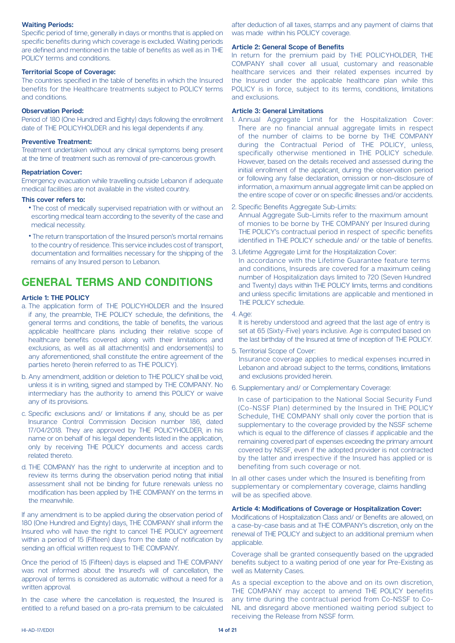### **Waiting Periods:**

Specific period of time, generally in days or months that is applied on specific benefits during which coverage is excluded. Waiting periods are defined and mentioned in the table of benefits as well as in THF POLICY terms and conditions.

### **Territorial Scope of Coverage:**

The countries specified in the table of benefits in which the Insured benefits for the Healthcare treatments subject to POLICY terms and conditions

### **Observation Period:**

Period of 180 (One Hundred and Eighty) days following the enrollment date of THE POLICYHOLDER and his legal dependents if any.

### **Preventive Treatment:**

Treatment undertaken without any clinical symptoms being present at the time of treatment such as removal of pre-cancerous growth.

### **Repatriation Cover:**

Emergency evacuation while travelling outside Lebanon if adequate medical facilities are not available in the visited country.

### This cover refers to:

- The cost of medically supervised repatriation with or without an escorting medical team according to the severity of the case and medical necessity.
- The return transportation of the Insured person's mortal remains to the country of residence. This service includes cost of transport. documentation and formalities necessary for the shipping of the remains of any Insured person to Lebanon.

### **GENERAL TERMS AND CONDITIONS**

### **Article 1: THE POLICY**

- a. The application form of THE POLICYHOLDER and the Insured if any, the preamble, THE POLICY schedule, the definitions, the general terms and conditions, the table of benefits, the various applicable healthcare plans including their relative scope of healthcare benefits covered along with their limitations and exclusions, as well as all attachment(s) and endorsement(s) to any aforementioned, shall constitute the entire agreement of the parties hereto (herein referred to as THE POLICY).
- b. Any amendment, addition or deletion to THE POLICY shall be void. unless it is in writing, signed and stamped by THE COMPANY. No intermediary has the authority to amend this POLICY or waive any of its provisions.
- c. Specific exclusions and/ or limitations if any, should be as per Insurance Control Commission Decision number 186, dated 17/04/2018. They are approved by THE POLICYHOLDER, in his name or on behalf of his legal dependents listed in the application, only by receiving THE POLICY documents and access cards related thereto.
- d. THE COMPANY has the right to underwrite at inception and to review its terms during the observation period noting that initial assessment shall not be binding for future renewals unless no modification has been applied by THE COMPANY on the terms in the meanwhile.

If any amendment is to be applied during the observation period of 180 (One Hundred and Eighty) days. THE COMPANY shall inform the Insured who will have the right to cancel THE POLICY agreement within a period of 15 (Fifteen) days from the date of notification by sending an official written request to THE COMPANY.

Once the period of 15 (Fifteen) days is elapsed and THE COMPANY was not informed about the Insured's will of cancellation, the approval of terms is considered as automatic without a need for a written approval.

In the case where the cancellation is requested, the Insured is entitled to a refund based on a pro-rata premium to be calculated

after deduction of all taxes, stamps and any payment of claims that was made within his POLICY coverage.

### **Article 2: General Scope of Benefits**

In return for the premium paid by THE POLICYHOLDER. THE COMPANY shall cover all usual, customary and reasonable healthcare services and their related expenses incurred by the Insured under the applicable healthcare plan while this POLICY is in force, subject to its terms, conditions, limitations and exclusions

### **Article 3: General Limitations**

- 1. Annual Aggregate Limit for the Hospitalization Cover: There are no financial annual aggregate limits in respect of the number of claims to be borne by THE COMPANY during the Contractual Period of THE POLICY, unless, specifically otherwise mentioned in THE POLICY schedule. However, based on the details received and assessed during the initial enrollment of the applicant, during the observation period or following any false declaration, omission or non-disclosure of information, a maximum annual aggregate limit can be applied on the entire scope of cover or on specific illnesses and/or accidents.
- 2. Specific Benefits Aggregate Sub-Limits:

Annual Aggregate Sub-Limits refer to the maximum amount of monies to be borne by THE COMPANY per Insured during THE POLICY's contractual period in respect of specific benefits identified in THE POLICY schedule and/ or the table of benefits.

- 3. Lifetime Aggregate Limit for the Hospitalization Cover: In accordance with the Lifetime Guarantee feature terms and conditions, Insureds are covered for a maximum ceiling number of Hospitalization days limited to 720 (Seven Hundred and Twenty) days within THE POLICY limits, terms and conditions and unless specific limitations are applicable and mentioned in THE POLICY schedule.
- 4. Age:

It is hereby understood and agreed that the last age of entry is set at 65 (Sixty-Five) years inclusive. Age is computed based on the last birthday of the Insured at time of inception of THE POLICY.

5. Territorial Scope of Cover:

Insurance coverage applies to medical expenses incurred in Lebanon and abroad subject to the terms, conditions, limitations and exclusions provided herein.

6. Supplementary and/ or Complementary Coverage:

In case of participation to the National Social Security Fund (Co-NSSF Plan) determined by the Insured in THE POLICY Schedule, THE COMPANY shall only cover the portion that is supplementary to the coverage provided by the NSSF scheme which is equal to the difference of classes if applicable and the remaining covered part of expenses exceeding the primary amount covered by NSSF, even if the adopted provider is not contracted by the latter and irrespective if the Insured has applied or is benefiting from such coverage or not.

In all other cases under which the Insured is benefiting from supplementary or complementary coverage, claims handling will be as specified above.

### **Article 4: Modifications of Coverage or Hospitalization Cover:**

Modifications of Hospitalization Class and/ or Benefits are allowed, on a case-by-case basis and at THE COMPANY's discretion, only on the renewal of THE POLICY and subject to an additional premium when .applicable

Coverage shall be granted consequently based on the upgraded benefits subject to a waiting period of one year for Pre-Existing as well as Maternity Cases.

As a special exception to the above and on its own discretion. THE COMPANY may accept to amend THE POLICY benefits NIL and disregard above mentioned waiting period subject to any time during the contractual period from Co-NSSF to Coreceiving the Release from NSSF form.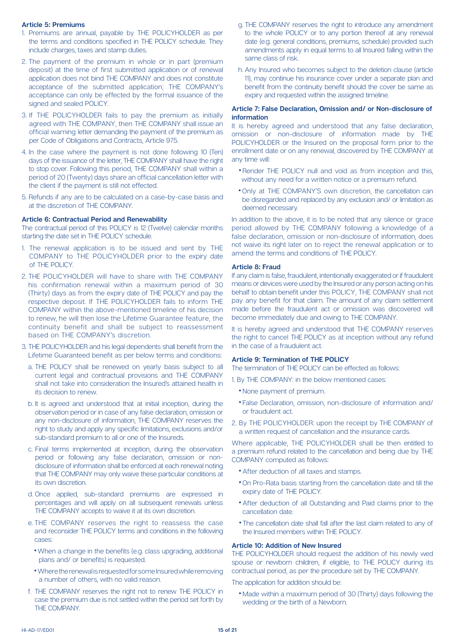### **Premiums 5: Article**

- 1. Premiums are annual, payable by THE POLICYHOLDER as per the terms and conditions specified in THE POLICY schedule. They include charges, taxes and stamp duties.
- 2. The payment of the premium in whole or in part (premium deposit) at the time of first submitted application or of renewal application does not bind THE COMPANY and does not constitute acceptance of the submitted application; THE COMPANY's acceptance can only be effected by the formal issuance of the signed and sealed POLICY.
- 3. If THE POLICYHOLDER fails to pay the premium as initially agreed with THE COMPANY, then THE COMPANY shall issue an official warning letter demanding the payment of the premium as per Code of Obligations and Contracts, Article 975.
- 4. In the case where the payment is not done following 10 (Ten) days of the issuance of the letter, THE COMPANY shall have the right to stop cover. Following this period, THE COMPANY shall within a period of 20 (Twenty) days share an official cancellation letter with the client if the payment is still not effected.
- 5. Refunds if any are to be calculated on a case-by-case basis and at the discretion of THE COMPANY.

### **Article 6: Contractual Period and Renewability**

The contractual period of this POLICY is 12 (Twelve) calendar months starting the date set in THE POLICY schedule.

- 1. The renewal application is to be issued and sent by THE COMPANY to THE POLICYHOLDER prior to the expiry date of THE POLICY
- 2. THE POLICYHOLDER will have to share with THE COMPANY his confirmation renewal within a maximum period of 30 (Thirty) days as from the expiry date of THE POLICY and pay the respective deposit. If THE POLICYHOLDER fails to inform THE COMPANY within the above-mentioned timeline of his decision to renew, he will then lose the Lifetime Guarantee feature, the continuity benefit and shall be subject to reassessment based on THE COMPANY's discretion.
- 3. THE POLICYHOLDER and his legal dependents shall benefit from the Lifetime Guaranteed benefit as per below terms and conditions:
	- a. THE POLICY shall be renewed on yearly basis subject to all current legal and contractual provisions and THE COMPANY shall not take into consideration the Insured's attained health in its decision to renew.
	- b. It is agreed and understood that at initial inception, during the observation period or in case of any false declaration, omission or any non-disclosure of information. THE COMPANY reserves the right to study and apply any specific limitations, exclusions and/or sub-standard premium to all or one of the Insureds.
	- c. Final terms implemented at inception, during the observation disclosure of information shall be enforced at each renewal noting period or following any false declaration, omission or nonthat THE COMPANY may only waive these particular conditions at its own discretion.
	- d. Once applied, sub-standard premiums are expressed in percentages and will apply on all subsequent renewals unless THE COMPANY accepts to waive it at its own discretion.
	- e. THE COMPANY reserves the right to reassess the case and reconsider THE POLICY terms and conditions in the following cases
		- When a change in the benefits (e.g. class upgrading, additional plans and/ or benefits) is requested.
		- Where the renewal is requested for some Insured while removing a number of others, with no valid reason.
	- f. THE COMPANY reserves the right not to renew THE POLICY in case the premium due is not settled within the period set forth by THE COMPANY
- g. THE COMPANY reserves the right to introduce any amendment to the whole POLICY or to any portion thereof at any renewal date (e.g. general conditions, premiums, schedule) provided such amendments apply in equal terms to all insured falling within the same class of risk.
- h. Any Insured who becomes subject to the deletion clause (article 11), may continue his insurance cover under a separate plan and benefit from the continuity benefit should the cover be same as expiry and requested within the assigned timeline.

### **Article 7: False Declaration, Omission and/ or Non-disclosure of information**

It is hereby agreed and understood that any false declaration, omission or non-disclosure of information made by THE POLICYHOLDER or the Insured on the proposal form prior to the enrollment date or on any renewal, discovered by THE COMPANY at any time will:

- Render THE POLICY null and void as from inception and this, without any need for a written notice or a premium refund.
- Only at THE COMPANY'S own discretion the cancellation can be disregarded and replaced by any exclusion and/ or limitation as deemed necessary.

In addition to the above, it is to be noted that any silence or grace period allowed by THE COMPANY following a knowledge of a false declaration, omission or non-disclosure of information, does not waive its right later on to reject the renewal application or to amend the terms and conditions of THE POLICY.

### **Article 8: Fraud**

If any claim is false, fraudulent, intentionally exaggerated or if fraudulent means or devices were used by the Insured or any person acting on his behalf to obtain benefit under this POLICY, THE COMPANY shall not pay any benefit for that claim. The amount of any claim settlement made before the fraudulent act or omission was discovered will become immediately due and owing to THE COMPANY.

It is hereby agreed and understood that THE COMPANY reserves the right to cancel THE POLICY as at inception without any refund in the case of a fraudulent act.

### **Article 9: Termination of THE POLICY**

The termination of THE POLICY can be effected as follows:

- 1. By THE COMPANY: in the below mentioned cases:
	- None payment of premium.
	- False Declaration, omission, non-disclosure of information and/ or fraudulent act.
- 2. By THE POLICYHOLDER: upon the receipt by THE COMPANY of a written request of cancellation and the insurance cards

Where applicable, THE POLICYHOLDER shall be then entitled to a premium refund related to the cancellation and being due by THE COMPANY computed as follows:

- After deduction of all taxes and stamps.
- On Pro-Rata basis starting from the cancellation date and till the expiry date of THE POLICY.
- After deduction of all Outstanding and Paid claims prior to the cancellation date.
- The cancellation date shall fall after the last claim related to any of the Insured members within THE POLICY.

### **Article 10: Addition of New Insured**

THE POLICYHOLDER should request the addition of his newly wed snouse or newborn children, if eligible, to THE POLICY during its contractual period, as per the procedure set by THE COMPANY.

The application for addition should be:

• Made within a maximum period of 30 (Thirty) days following the wedding or the birth of a Newborn.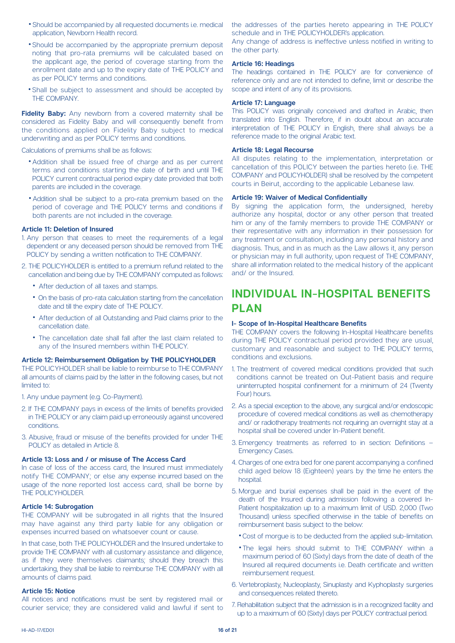- Should be accompanied by all requested documents i.e. medical application, Newborn Health record.
- Should be accompanied by the appropriate premium deposit noting that pro-rata premiums will be calculated based on the applicant age, the period of coverage starting from the enrollment date and up to the expiry date of THE POLICY and as per POLICY terms and conditions.
- Shall be subject to assessment and should be accepted by THE COMPANY.

Fidelity Baby: Any newborn from a covered maternity shall be considered as Fidelity Baby and will consequently benefit from the conditions applied on Fidelity Baby subject to medical underwriting and as per POLICY terms and conditions.

Calculations of premiums shall be as follows:

- Addition shall be issued free of charge and as per current terms and conditions starting the date of birth and until THE POLICY current contractual period expiry date provided that both parents are included in the coverage.
- Addition shall be subject to a pro-rata premium based on the period of coverage and THE POLICY terms and conditions if both parents are not included in the coverage.

### **Article 11: Deletion of Insured**

- 1. Any person that ceases to meet the requirements of a legal dependent or any deceased person should be removed from THE POLICY by sending a written notification to THE COMPANY.
- 2. THE POLICYHOLDER is entitled to a premium refund related to the cancellation and being due by THE COMPANY computed as follows:
	- After deduction of all taxes and stamps.
	- On the basis of pro-rata calculation starting from the cancellation date and till the expiry date of THE POLICY.
	- After deduction of all Outstanding and Paid claims prior to the cancellation date
	- The cancellation date shall fall after the last claim related to any of the Insured members within THE POLICY.

#### **Article 12: Reimbursement Obligation by THE POLICYHOLDER**

THE POLICYHOLDER shall be liable to reimburse to THE COMPANY all amounts of claims paid by the latter in the following cases, but not limited to:

1. Any undue payment (e.g. Co-Payment).

- 2. If THE COMPANY pays in excess of the limits of benefits provided in THE POLICY or any claim paid up erroneously against uncovered .conditions
- 3. Abusive, fraud or misuse of the benefits provided for under THE POLICY as detailed in Article 8.

#### Article 13: Loss and / or misuse of The Access Card

In case of loss of the access card, the Insured must immediately notify THE COMPANY; or else any expense incurred based on the usage of the none reported lost access card, shall be borne by THE POLICYHOLDER.

#### **Article 14: Subrogation**

THE COMPANY will be subrogated in all rights that the Insured may have against any third party liable for any obligation or expenses incurred based on whatsoever count or cause

In that case, both THE POLICYHOLDER and the Insured undertake to provide THE COMPANY with all customary assistance and diligence, as if they were themselves claimants; should they breach this undertaking, they shall be liable to reimburse THE COMPANY with all amounts of claims paid.

#### **Notice 15: Article**

All notices and notifications must be sent by registered mail or courier service; they are considered valid and lawful if sent to the addresses of the parties hereto appearing in THE POLICY schedule and in THE POLICYHOLDER's application.

Any change of address is ineffective unless notified in writing to the other party.

### **Article 16: Headings**

The headings contained in THE POLICY are for convenience of reference only and are not intended to define, limit or describe the scope and intent of any of its provisions.

### **Language 17: Article**

This POLICY was originally conceived and drafted in Arabic, then translated into English. Therefore, if in doubt about an accurate interpretation of THE POLICY in English, there shall always be a reference made to the original Arabic text.

### **Article 18: Legal Recourse**

All disputes relating to the implementation, interpretation or cancellation of this POLICY between the parties hereto (i.e. THE COMPANY and POLICYHOLDER) shall be resolved by the competent courts in Beirut, according to the applicable Lebanese law.

### **Article 19: Waiver of Medical Confidentially**

By signing the application form, the undersigned, hereby authorize any hospital, doctor or any other person that treated him or any of the family members to provide THE COMPANY or their representative with any information in their possession for any treatment or consultation, including any personal history and diagnosis. Thus, and in as much as the Law allows it, any person or physician may in full authority, upon request of THE COMPANY, share all information related to the medical history of the applicant and/ or the Insured

### **INDIVIDUAL IN-HOSPITAL BENEFITS PLAN**

### **I- Scope of In-Hospital Healthcare Benefits**

THE COMPANY covers the following In-Hospital Healthcare benefits during THE POLICY contractual period provided they are usual. customary and reasonable and subject to THE POLICY terms, .exclusions and conditions

- 1. The treatment of covered medical conditions provided that such conditions cannot be treated on Out-Patient basis and require uninterrupted hospital confinement for a minimum of 24 (Twenty Four) hours.
- 2. As a special exception to the above, any surgical and/or endoscopic procedure of covered medical conditions as well as chemotherapy and/ or radiotherapy treatments not requiring an overnight stay at a hospital shall be covered under In-Patient benefit.
- 3. Emergency treatments as referred to in section: Definitions  $-$ **Emergency Cases.**
- 4. Charges of one extra bed for one parent accompanying a confined child aged below 18 (Eighteen) years by the time he enters the hospital.
- 5. Morque and burial expenses shall be paid in the event of the Patient hospitalization up to a maximum limit of USD. 2,000 (Two death of the Insured during admission following a covered In-Thousand) unless specified otherwise in the table of benefits on reimbursement basis subject to the below:
	- . Cost of morgue is to be deducted from the applied sub-limitation.
	- . The legal heirs should submit to THE COMPANY within a maximum period of 60 (Sixty) days from the date of death of the Insured all required documents i.e. Death certificate and written reimbursement request.
- 6. Vertebroplasty, Nucleoplasty, Sinuplasty and Kyphoplasty surgeries and consequences related thereto.
- 7. Rehabilitation subject that the admission is in a recognized facility and up to a maximum of 60 (Sixty) days per POLICY contractual period.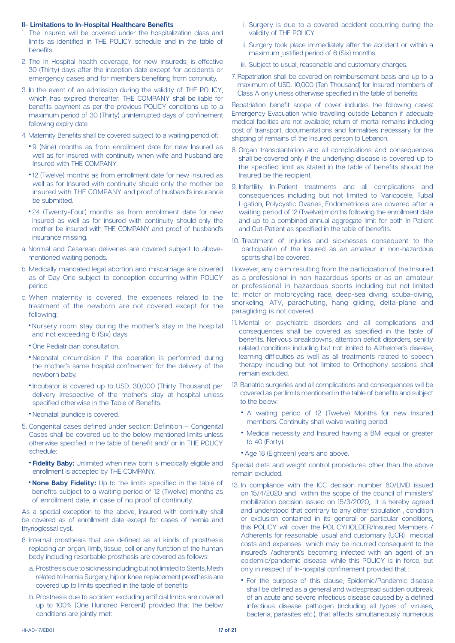### **II- Limitations to In-Hospital Healthcare Benefits**

- 1. The Insured will be covered under the hospitalization class and limits as identified in THE POLICY schedule and in the table of .benefits
- 2. The In-Hospital health coverage, for new Insureds, is effective 30 (Thirty) days after the inception date except for accidents or emergency cases and for members benefiting from continuity.
- 3. In the event of an admission during the validity of THE POLICY. which has expired thereafter. THE COMPANY shall be liable for benefits payment as per the previous POLICY conditions up to a maximum period of 30 (Thirty) uninterrupted days of confinement following expiry date.
- 4. Maternity Benefits shall be covered subject to a waiting period of:
	- 9 (Nine) months as from enrollment date for new Insured as well as for Insured with continuity when wife and husband are Insured with THE COMPANY.
	- 12 (Twelve) months as from enrollment date for new Insured as well as for Insured with continuity should only the mother be insured with THE COMPANY and proof of husband's insurance be submitted.
	- 24 (Twenty-Four) months as from enrollment date for new Insured as well as for insured with continuity should only the mother be insured with THE COMPANY and proof of husband's insurance missing
- a. Normal and Cesarean deliveries are covered subject to above-<br>mentioned waiting periods.
- b. Medically mandated legal abortion and miscarriage are covered as of Day One subject to conception occurring within POLICY .period
- c. When maternity is covered, the expenses related to the treatment of the newborn are not covered except for the :following
	- Nursery room stay during the mother's stay in the hospital and not exceeding 6 (Six) days.
	- One Pediatrician consultation.
	- Neonatal circumcision if the operation is performed during the mother's same hospital confinement for the delivery of the newborn baby.
	- Incubator is covered up to USD. 30,000 (Thirty Thousand) per delivery irrespective of the mother's stay at hospital unless specified otherwise in the Table of Benefits.
	- Neonatal iaundice is covered.
- 5. Congenital cases defined under section: Definition  $-$  Congenital Cases shall be covered up to the below mentioned limits unless otherwise specified in the table of benefit and/ or in THE POLICY :schedule
	- **Fidelity Baby:** Unlimited when new born is medically eligible and enrollment is accepted by THE COMPANY.
	- **. None Baby Fidelity:** Up to the limits specified in the table of benefits subject to a waiting period of 12 (Twelve) months as of enrollment date, in case of no proof of continuity.

As a special exception to the above, Insured with continuity shall be covered as of enrollment date except for cases of hernia and thyrioglossal cyst.

- 6. Internal prosthesis that are defined as all kinds of prosthesis replacing an organ, limb, tissue, cell or any function of the human body including resorbable prosthesis are covered as follows:
	- a. Prosthesis due to sickness including but not limited to Stents. Mesh related to Hernia Surgery, hip or knee replacement prosthesis are covered up to limits specified in the table of benefits
	- b. Prosthesis due to accident excluding artificial limbs are covered up to 100% (One Hundred Percent) provided that the below conditions are jointly met:
- i. Surgery is due to a covered accident occurring during the validity of THE POLICY.
- ii. Surgery took place immediately after the accident or within a maximum justified period of 6 (Six) months.
- iii. Subject to usual reasonable and customary charges
- 7. Repatriation shall be covered on reimbursement basis and up to a maximum of USD. 10,000 (Ten Thousand) for Insured members of Class A only unless otherwise specified in the table of benefits.

Repatriation benefit scope of cover includes the following cases: Emergency Evacuation while travelling outside Lebanon if adequate medical facilities are not available; return of mortal remains including cost of transport, documentations and formalities necessary for the shipping of remains of the Insured person to Lebanon.

- 8. Organ transplantation and all complications and consequences shall be covered only if the underlying disease is covered up to the specified limit as stated in the table of benefits should the Insured be the recipient.
- 9. Infertility In-Patient treatments and all complications and consequences including but not limited to Varicocele. Tubal Ligation, Polycystic Ovaries, Endometriosis are covered after a waiting period of 12 (Twelve) months following the enrollment date and up to a combined annual aggregate limit for both In-Patient and Out-Patient as specified in the table of benefits.
- 10. Treatment of injuries and sicknesses consequent to the participation of the Insured as an amateur in non-hazardous sports shall be covered.

However, any claim resulting from the participation of the Insured as a professional in non-hazardous sports or as an amateur or professional in hazardous sports including but not limited to: motor or motorcycling race, deep-sea diving, scuba-diving, snorkeling, ATV, parachuting, hang gliding, delta-plane and paragliding is not covered.

- 11. Mental or psychiatric disorders and all complications and consequences shall be covered as specified in the table of benefits. Nervous breakdowns, attention deficit disorders, senility related conditions including but not limited to Alzheimer's disease, learning difficulties as well as all treatments related to speech therapy including but not limited to Orthophony sessions shall remain excluded.
- 12. Bariatric surgeries and all complications and consequences will be covered as per limits mentioned in the table of benefits and subject to the below:
	- A waiting period of 12 (Twelve) Months for new Insured members. Continuity shall waive waiting period.
	- Medical necessity and Insured having a BMI equal or greater to 40 (Forty).
	- Age 18 (Eighteen) years and above.

Special diets and weight control procedures other than the above remain excluded.

- 13. In compliance with the ICC decision number 80/LMD issued on 15/4/2020 and within the scope of the council of ministers' mobilization decision issued on 15/3/2020, it is hereby agreed and understood that contrary to any other stipulation, condition or exclusion contained in its general or particular conditions. this POLICY will cover the POLICYHOLDER/Insured Members / Adherents for reasonable ,usual and customary (UCR) medical costs and expenses which may be incurred consequent to the insured's /adherent's becoming infected with an agent of an epidemic/pandemic disease, while this POLICY is in force, but only in respect of In-hospital confinement provided that:
	- For the purpose of this clause, Epidemic/Pandemic disease shall be defined as a general and widespread sudden outbreak of an acute and severe infectious disease caused by a defined infectious disease pathogen (including all types of viruses, bacteria, parasites etc.), that affects simultaneously numerous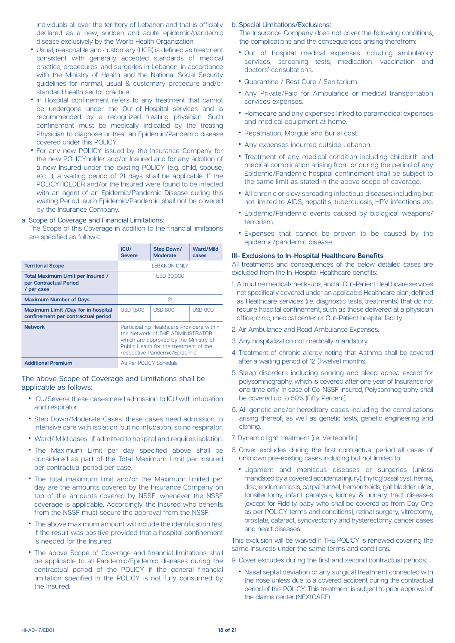individuals all over the territory of Lebanon and that is officially declared as a new, sudden and acute epidemic/pandemic disease exclusively by the World Health Organization.

- Usual, reasonable and customary (UCR) is defined as treatment consistent with generally accepted standards of medical practice, procedures, and surgeries in Lebanon, in accordance with the Ministry of Health and the National Social Security quidelines for normal, usual & customary procedure and/or standard health sector practice.
- In Hospital confinement refers to any treatment that cannot be undergone under the Out-of-Hospital services and is recommended by a recognized treating physician. Such confinement must be medically indicated by the treating Physician to diagnose or treat an Epidemic/Pandemic disease covered under this POLICY.
- For any new POLICY issued by the Insurance Company for the new POLICYholder and/or Insured and for any addition of a new Insured under the existing POLICY (e.g. child, spouse, etc....), a waiting period of 21 days shall be applicable. If the POLICYHOLDER and/or the Insured were found to be infected with an agent of an Epidemic/Pandemic Disease during this waiting Period, such Epidemic/Pandemic shall not be covered by the Insurance Company.

### a. Scope of Coverage and Financial Limitations:

The Scope of this Coverage in addition to the financial limitations are specified as follows:

|                                                                           | ICU/<br><b>Severe</b>                                                                                                                                                                            | <b>Step Down/</b><br><b>Moderate</b> | <b>Ward/Mild</b><br>cases |
|---------------------------------------------------------------------------|--------------------------------------------------------------------------------------------------------------------------------------------------------------------------------------------------|--------------------------------------|---------------------------|
| <b>Territorial Scope</b>                                                  | <b>I FBANON ONLY</b>                                                                                                                                                                             |                                      |                           |
| Total Maximum Limit per Insured /<br>per Contractual Period<br>/ per case | USD 30,000                                                                                                                                                                                       |                                      |                           |
| <b>Maximum Number of Days</b>                                             | 21                                                                                                                                                                                               |                                      |                           |
| Maximum Limit /Day for in hospital<br>confinement per contractual period  | <b>USD 1,500</b>                                                                                                                                                                                 | <b>USD 800</b>                       | <b>USD 600</b>            |
| <b>Network</b>                                                            | Participating Healthcare Providers within<br>the Network of THF ADMINISTRATOR<br>which are approved by the Ministry of<br>Public Health for the treatment of the<br>respective Pandemic/Epidemic |                                      |                           |
| <b>Additional Premium</b>                                                 | As Per POLICY Schedule                                                                                                                                                                           |                                      |                           |

The above Scope of Coverage and Limitations shall be applicable as follows:

- ICU/Severe: these cases need admission to ICU with intubation and respirator.
- Step Down/Moderate Cases: these cases need admission to intensive care with isolation, but no intubation, so no respirator.
- Ward/ Mild cases: if admitted to hospital and requires isolation.
- The Maximum Limit per day specified above shall be considered as part of the Total Maximum Limit per Insured per contractual period per case.
- The total maximum limit and/or the Maximum limited per day are the amounts covered by the Insurance Company on top of the amounts covered by NSSF, whenever the NSSF coverage is applicable. Accordingly, the Insured who benefits from the NSSF must secure the approval from the NSSF.
- The above maximum amount will include the identification test if the result was positive provided that a hospital confinement is needed for the Insured.
- The above Scope of Coverage and financial limitations shall be applicable to all Pandemic/Epidemic diseases during the contractual period of the POLICY if the general financial limitation specified in the POLICY is not fully consumed by the Insured

### b. Special Limitations/Exclusions:

The Insurance Company does not cover the following conditions, the complications and the consequences arising therefrom:

- Out of hospital medical expenses including ambulatory services, screening tests, medication, vaccination and doctors' consultations.
- Quarantine / Rest Cure / Sanitarium.
- Any Private/Paid for Ambulance or medical transportation services expenses.
- Homecare and any expenses linked to paramedical expenses and medical equipment at home.
- Repatriation, Morque and Burial cost.
- Any expenses incurred outside Lebanon.
- Treatment of any medical condition including childbirth and medical complication arising from or during the period of any Epidemic/Pandemic hospital confinement shall be subject to the same limit as stated in the above scope of coverage.
- All chronic or slow spreading infectious diseases including but not limited to AIDS, hepatitis, tuberculosis, HPV infections etc.
- Epidemic/Pandemic events caused by biological weapons/ terrorism.
- Expenses that cannot be proven to be caused by the epidemic/pandemic disease.

### **III- Exclusions to In-Hospital Healthcare Benefits**

All treatments and consequences of the below detailed cases are excluded from the In-Hospital Healthcare benefits:

- 1. All routine medical check-ups, and all Out-Patient Healthcare services not specifically covered under an applicable Healthcare plan, defined as Healthcare services (i.e. diagnostic tests, treatments) that do not require hospital confinement, such as those delivered at a physician office, clinic, medical center or Out-Patient hospital facility.
- 2. Air Ambulance and Road Ambulance Expenses.
- 3. Any hospitalization not medically mandatory.
- 4. Treatment of chronic allergy noting that Asthma shall be covered after a waiting period of 12 (Twelve) months.
- 5. Sleep disorders including snoring and sleep apnea except for polysomnography, which is covered after one year of Insurance for one time only. In case of Co-NSSF Insured, Polysomnography shall be covered up to 50% (Fifty Percent).
- 6. All genetic and/or hereditary cases including the complications arising thereof, as well as genetic tests, genetic engineering and .cloning
- 7. Dynamic light treatment (i.e. Verteporfin).
- 8. Cover excludes during the first contractual period all cases of unknown pre-existing cases including but not limited to:
- Ligament and meniscus diseases or surgeries (unless mandated by a covered accidental injury), thyroglossal cyst, hernia, disc, endometriosis, carpal tunnel, hemorrhoids, gall bladder, ulcer, tonsillectomy, infant paralysis, kidney & urinary tract diseases (except for Fidelity baby who shall be covered as from Day One as per POLICY terms and conditions), retinal surgery, vitrectomy, prostate, cataract, synovectomy and hysterectomy, cancer cases and heart diseases.

This exclusion will be waived if THE POLICY is renewed covering the same Insureds under the same terms and conditions.

- 9. Cover excludes during the first and second contractual periods:
- Nasal septal deviation or any surgical treatment connected with the nose unless due to a covered accident during the contractual period of this POLICY. This treatment is subject to prior approval of the claims center (NEXtCARE).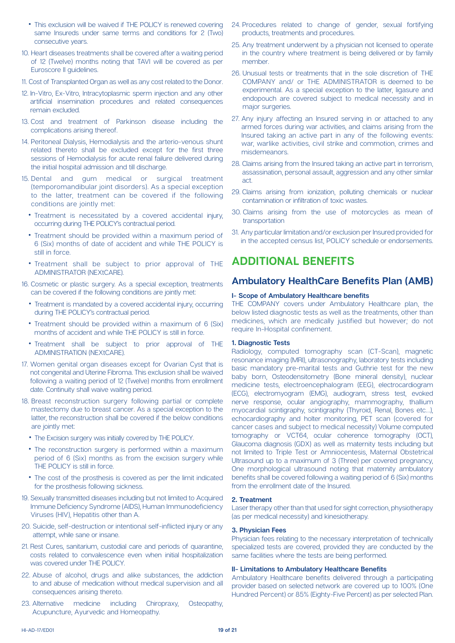- This exclusion will be waived if THE POLICY is renewed covering same Insureds under same terms and conditions for 2 (Two) consecutive years.
- 10. Heart diseases treatments shall be covered after a waiting period of 12 (Twelve) months noting that TAVI will be covered as per Euroscore II quidelines.
- 11. Cost of Transplanted Organ as well as any cost related to the Donor.
- 12. In-Vitro, Ex-Vitro, Intracytoplasmic sperm injection and any other artificial insemination procedures and related consequences remain excluded.
- 13. Cost and treatment of Parkinson disease including the complications arising thereof.
- 14. Peritoneal Dialysis, Hemodialysis and the arterio-venous shunt related thereto shall be excluded except for the first three sessions of Hemodialysis for acute renal failure delivered during the initial hospital admission and till discharge.
- 15. Dental and gum medical or surgical treatment (temporomandibular joint disorders). As a special exception to the latter, treatment can be covered if the following conditions are jointly met:
	- Treatment is necessitated by a covered accidental injury, occurring during THE POLICY's contractual period.
	- Treatment should be provided within a maximum period of 6 (Six) months of date of accident and while THE POLICY is still in force.
	- Treatment shall be subject to prior approval of THE ADMINISTRATOR (NEXtCARE).
- 16. Cosmetic or plastic surgery. As a special exception, treatments can be covered if the following conditions are jointly met:
	- Treatment is mandated by a covered accidental injury, occurring during THE POLICY's contractual period.
	- Treatment should be provided within a maximum of 6 (Six) months of accident and while THE POLICY is still in force.
	- Treatment shall be subject to prior approval of THE ADMINISTRATION (NEXtCARE).
- 17. Women genital organ diseases except for Ovarian Cyst that is not congenital and Uterine Fibroma. This exclusion shall be waived following a waiting period of 12 (Twelve) months from enrollment date. Continuity shall waive waiting period.
- 18. Breast reconstruction surgery following partial or complete mastectomy due to breast cancer. As a special exception to the latter, the reconstruction shall be covered if the below conditions are jointly met:
	- The Excision surgery was initially covered by THE POLICY.
	- The reconstruction surgery is performed within a maximum period of 6 (Six) months as from the excision surgery while THE POLICY is still in force.
	- The cost of the prosthesis is covered as per the limit indicated for the prosthesis following sickness.
- 19. Sexually transmitted diseases including but not limited to Acquired Immune Deficiency Syndrome (AIDS), Human Immunodeficiency Viruses (HIV). Hepatitis other than A.
- 20. Suicide, self-destruction or intentional self-inflicted injury or any attempt, while sane or insane.
- 21. Rest Cures, sanitarium, custodial care and periods of quarantine, costs related to convalescence even when initial hospitalization was covered under THE POLICY.
- 22. Abuse of alcohol, drugs and alike substances, the addiction to and abuse of medication without medical supervision and all consequences arising thereto.
- 23. Alternative medicine including Chiropraxy, Osteopathy, Acupuncture, Ayurvedic and Homeopathy.
- 24. Procedures related to change of gender, sexual fortifying products, treatments and procedures.
- 25. Any treatment underwent by a physician not licensed to operate in the country where treatment is being delivered or by family member.
- 26. Unusual tests or treatments that in the sole discretion of THE COMPANY and/ or THE ADMINISTRATOR is deemed to be experimental. As a special exception to the latter, ligasure and endopouch are covered subject to medical necessity and in major surgeries.
- 27. Any injury affecting an Insured serving in or attached to any armed forces during war activities, and claims arising from the Insured taking an active part in any of the following events: war, warlike activities, civil strike and commotion, crimes and .misdemeanors
- 28. Claims arising from the Insured taking an active part in terrorism. assassination, personal assault, aggression and any other similar .act
- 29. Claims arising from ionization, polluting chemicals or nuclear contamination or infiltration of toxic wastes.
- 30. Claims arising from the use of motorcycles as mean of transportation
- 31. Any particular limitation and/or exclusion per Insured provided for in the accepted census list, POLICY schedule or endorsements.

### **ADDITIONAL BENEFITS**

### **Ambulatory HealthCare Benefits Plan (AMB)**

### **belief Scope of Ambulatory Healthcare benefits**

THE COMPANY covers under Ambulatory Healthcare plan, the below listed diagnostic tests as well as the treatments, other than medicines, which are medically justified but however; do not require In-Hospital confinement.

### **1. Diagnostic Tests**

Radiology, computed tomography scan (CT-Scan), magnetic resonance imaging (MRI), ultrasonography, laboratory tests including basic mandatory pre-marital tests and Guthrie test for the new baby born, Osteodensitometry (Bone mineral density), nuclear medicine tests, electroencephalogram (EEG), electrocardiogram (ECG), electromyogram (EMG), audiogram, stress test, evoked nerve response, ocular angiography, mammography, thallium myocardial scintigraphy, scintigraphy (Thyroid, Renal, Bones etc...), echocardiography and holter monitoring, PET scan (covered for cancer cases and subject to medical necessity) Volume computed tomography or VCT64, ocular coherence tomography (OCT), Glaucoma diagnosis (GDX) as well as maternity tests including but not limited to Triple Test or Amniocentesis. Maternal Obstetrical Ultrasound up to a maximum of 3 (Three) per covered pregnancy. One morphological ultrasound noting that maternity ambulatory benefits shall be covered following a waiting period of 6 (Six) months from the enrollment date of the Insured.

### **Treatment 2.**

Laser therapy other than that used for sight correction, physiotherapy  $(as per medical necessity)$  and kinesiotherapy.

### **3. Physician Fees**

Physician fees relating to the necessary interpretation of technically specialized tests are covered, provided they are conducted by the same facilities where the tests are being performed.

#### **II- Limitations to Ambulatory Healthcare Benefits**

Ambulatory Healthcare benefits delivered through a participating provider based on selected network are covered up to 100% (One Hundred Percent) or 85% (Eighty-Five Percent) as per selected Plan.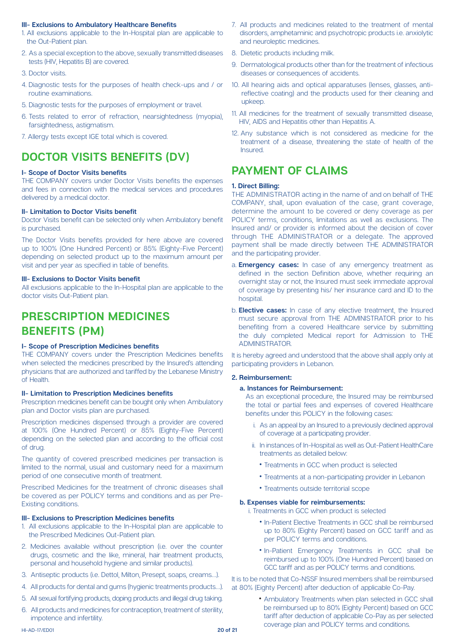### **III- Exclusions to Ambulatory Healthcare Benefits**

- 1. All exclusions applicable to the In-Hospital plan are applicable to the Out-Patient plan.
- 2. As a special exception to the above, sexually transmitted diseases tests (HIV, Hepatitis B) are covered.
- 3. Doctor visits
- 4. Diagnostic tests for the purposes of health check-ups and / or routine examinations.
- 5. Diagnostic tests for the purposes of employment or travel.
- 6. Tests related to error of refraction, nearsightedness (myopia), farsightedness, astigmatism.
- 7. Allergy tests except IGE total which is covered.

## **DOCTOR VISITS BENEFITS (DV)**

### **benefits benefits**

THE COMPANY covers under Doctor Visits benefits the expenses and fees in connection with the medical services and procedures delivered by a medical doctor.

### **II- Limitation to Doctor Visits benefit**

Doctor Visits benefit can be selected only when Ambulatory benefit is purchased.

The Doctor Visits benefits provided for here above are covered up to 100% (One Hundred Percent) or 85% (Eighty-Five Percent) depending on selected product up to the maximum amount per visit and per vear as specified in table of benefits.

### **III- Exclusions to Doctor Visits benefit**

All exclusions applicable to the In-Hospital plan are applicable to the doctor visits Out-Patient plan.

## **PRESCRIPTION MEDICINES BENEFITS** (PM)

### **belief Scope of Prescription Medicines benefits**

THE COMPANY covers under the Prescription Medicines benefits when selected the medicines prescribed by the Insured's attending physicians that are authorized and tariffed by the Lebanese Ministry of Health.

### **II- Limitation to Prescription Medicines benefits**

Prescription medicines benefit can be bought only when Ambulatory plan and Doctor visits plan are purchased.

Prescription medicines dispensed through a provider are covered at 100% (One Hundred Percent) or 85% (Eighty-Five Percent) depending on the selected plan and according to the official cost of drug.

The quantity of covered prescribed medicines per transaction is limited to the normal, usual and customary need for a maximum period of one consecutive month of treatment.

Prescribed Medicines for the treatment of chronic diseases shall be covered as per POLICY terms and conditions and as per Pre-<br>Existing conditions.

### **III- Exclusions to Prescription Medicines benefits**

- 1. All exclusions applicable to the In-Hospital plan are applicable to the Prescribed Medicines Out-Patient plan.
- 2. Medicines available without prescription (i.e. over the counter drugs, cosmetic and the like, mineral, hair treatment products, personal and household hygiene and similar products).
- 3. Antiseptic products (i.e. Dettol Milton Presept soaps creams...).
- 4. All products for dental and gums (hygienic treatments products...).
- 5. All sexual fortifying products, doping products and illegal drug taking.
- 6. All products and medicines for contraception, treatment of sterility, impotence and infertility.
- 7. All products and medicines related to the treatment of mental disorders, amphetaminic and psychotropic products i.e. anxiolytic and neuroleptic medicines.
- 8. Dietetic products including milk.
- 9 Dermatological products other than for the treatment of infectious diseases or consequences of accidents.
- reflective coating) and the products used for their cleaning and 10. All hearing aids and optical apparatuses (lenses, glasses, anti-.upkeep
- 11. All medicines for the treatment of sexually transmitted disease, HIV, AIDS and Hepatitis other than Hepatitis A.
- 12. Any substance which is not considered as medicine for the treatment of a disease, threatening the state of health of the .Insured

### **PAYMENT OF CLAIMS**

### **1. Direct Billing:**

THE ADMINISTRATOR acting in the name of and on behalf of THE COMPANY, shall, upon evaluation of the case, grant coverage, determine the amount to be covered or deny coverage as per POLICY terms, conditions, limitations as well as exclusions. The Insured and/ or provider is informed about the decision of cover through THE ADMINISTRATOR or a delegate. The approved payment shall be made directly between THE ADMINISTRATOR and the participating provider.

- a. **Emergency cases:** In case of any emergency treatment as defined in the section Definition above, whether requiring an overnight stay or not, the Insured must seek immediate approval of coverage by presenting his/ her insurance card and ID to the .hospital
- b. **Elective cases:** In case of any elective treatment, the Insured must secure approval from THE ADMINISTRATOR prior to his benefiting from a covered Healthcare service by submitting the duly completed Medical report for Admission to THE .ADMINISTRATOR

It is hereby agreed and understood that the above shall apply only at participating providers in Lebanon.

### **2. Reimbursement:**

### **a. Instances for Reimbursement:**

As an exceptional procedure, the Insured may be reimbursed the total or partial fees and expenses of covered Healthcare benefits under this POLICY in the following cases:

- i. As an appeal by an Insured to a previously declined approval of coverage at a participating provider.
- ii. In instances of In-Hospital as well as Out-Patient HealthCare treatments as detailed below:
	- Treatments in GCC when product is selected
	- Treatments at a non-participating provider in Lebanon
	- Treatments outside territorial scope

### **b. Expenses viable for reimbursements:**

i. Treatments in GCC when product is selected

- In-Patient Elective Treatments in GCC shall be reimbursed up to 80% (Eighty Percent) based on GCC tariff and as per POLICY terms and conditions.
- In-Patient Emergency Treatments in GCC shall be reimbursed up to 100% (One Hundred Percent) based on GCC tariff and as per POLICY terms and conditions.

It is to be noted that Co-NSSF Insured members shall be reimbursed at 80% (Eighty Percent) after deduction of applicable Co-Pay.

> • Ambulatory Treatments when plan selected in GCC shall be reimbursed up to 80% (Eighty Percent) based on GCC tariff after deduction of applicable Co-Pay as per selected coverage plan and POLICY terms and conditions.